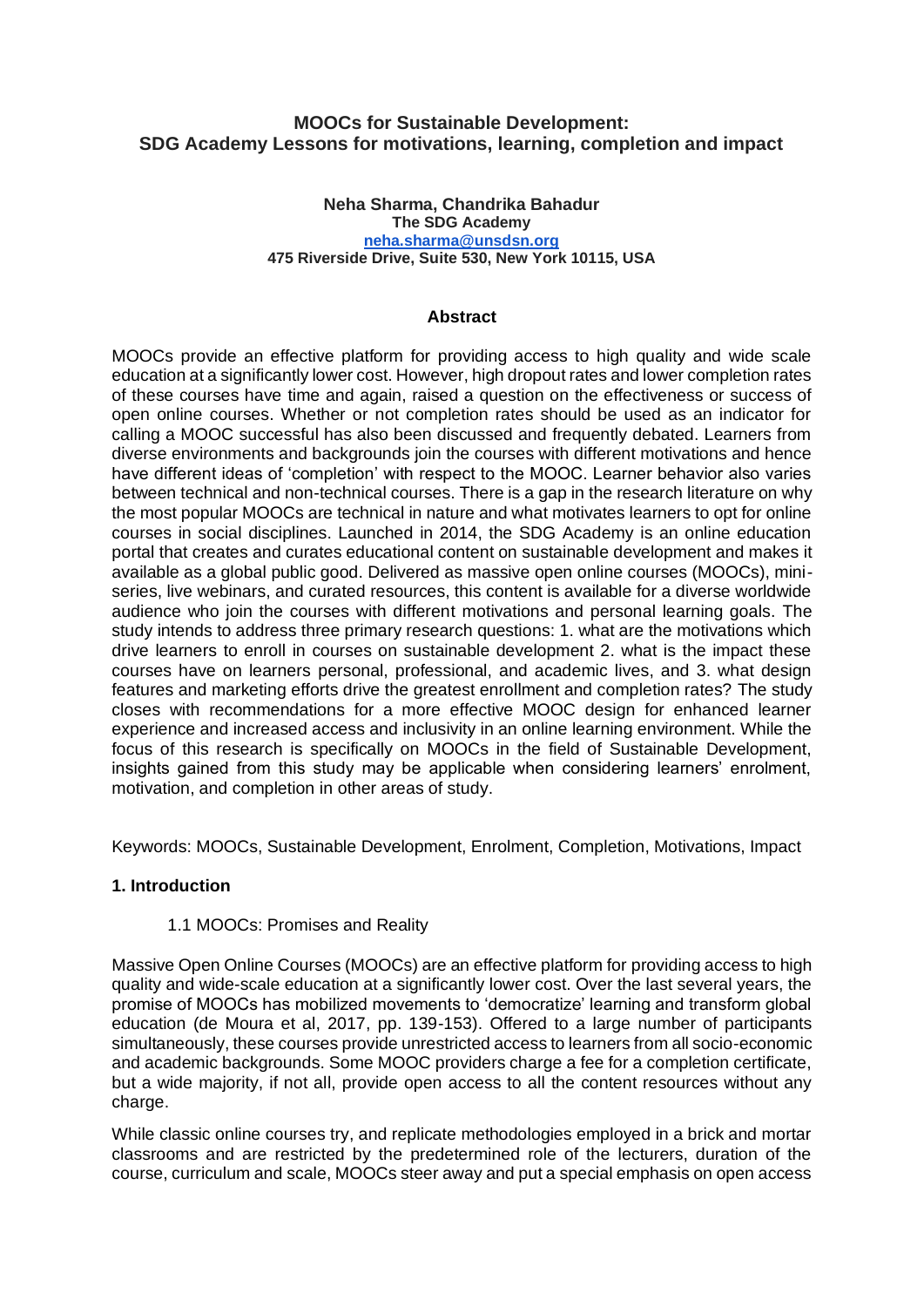# **MOOCs for Sustainable Development: SDG Academy Lessons for motivations, learning, completion and impact**

#### **Neha Sharma, Chandrika Bahadur The SDG Academy [neha.sharma@unsdsn.org](mailto:neha.sharma@unsdsn.org) 475 Riverside Drive, Suite 530, New York 10115, USA**

### **Abstract**

MOOCs provide an effective platform for providing access to high quality and wide scale education at a significantly lower cost. However, high dropout rates and lower completion rates of these courses have time and again, raised a question on the effectiveness or success of open online courses. Whether or not completion rates should be used as an indicator for calling a MOOC successful has also been discussed and frequently debated. Learners from diverse environments and backgrounds join the courses with different motivations and hence have different ideas of 'completion' with respect to the MOOC. Learner behavior also varies between technical and non-technical courses. There is a gap in the research literature on why the most popular MOOCs are technical in nature and what motivates learners to opt for online courses in social disciplines. Launched in 2014, the SDG Academy is an online education portal that creates and curates educational content on sustainable development and makes it available as a global public good. Delivered as massive open online courses (MOOCs), miniseries, live webinars, and curated resources, this content is available for a diverse worldwide audience who join the courses with different motivations and personal learning goals. The study intends to address three primary research questions: 1. what are the motivations which drive learners to enroll in courses on sustainable development 2. what is the impact these courses have on learners personal, professional, and academic lives, and 3. what design features and marketing efforts drive the greatest enrollment and completion rates? The study closes with recommendations for a more effective MOOC design for enhanced learner experience and increased access and inclusivity in an online learning environment. While the focus of this research is specifically on MOOCs in the field of Sustainable Development, insights gained from this study may be applicable when considering learners' enrolment, motivation, and completion in other areas of study.

Keywords: MOOCs, Sustainable Development, Enrolment, Completion, Motivations, Impact

## **1. Introduction**

### 1.1 MOOCs: Promises and Reality

Massive Open Online Courses (MOOCs) are an effective platform for providing access to high quality and wide-scale education at a significantly lower cost. Over the last several years, the promise of MOOCs has mobilized movements to 'democratize' learning and transform global education (de Moura et al, 2017, pp. 139-153). Offered to a large number of participants simultaneously, these courses provide unrestricted access to learners from all socio-economic and academic backgrounds. Some MOOC providers charge a fee for a completion certificate, but a wide majority, if not all, provide open access to all the content resources without any charge.

While classic online courses try, and replicate methodologies employed in a brick and mortar classrooms and are restricted by the predetermined role of the lecturers, duration of the course, curriculum and scale, MOOCs steer away and put a special emphasis on open access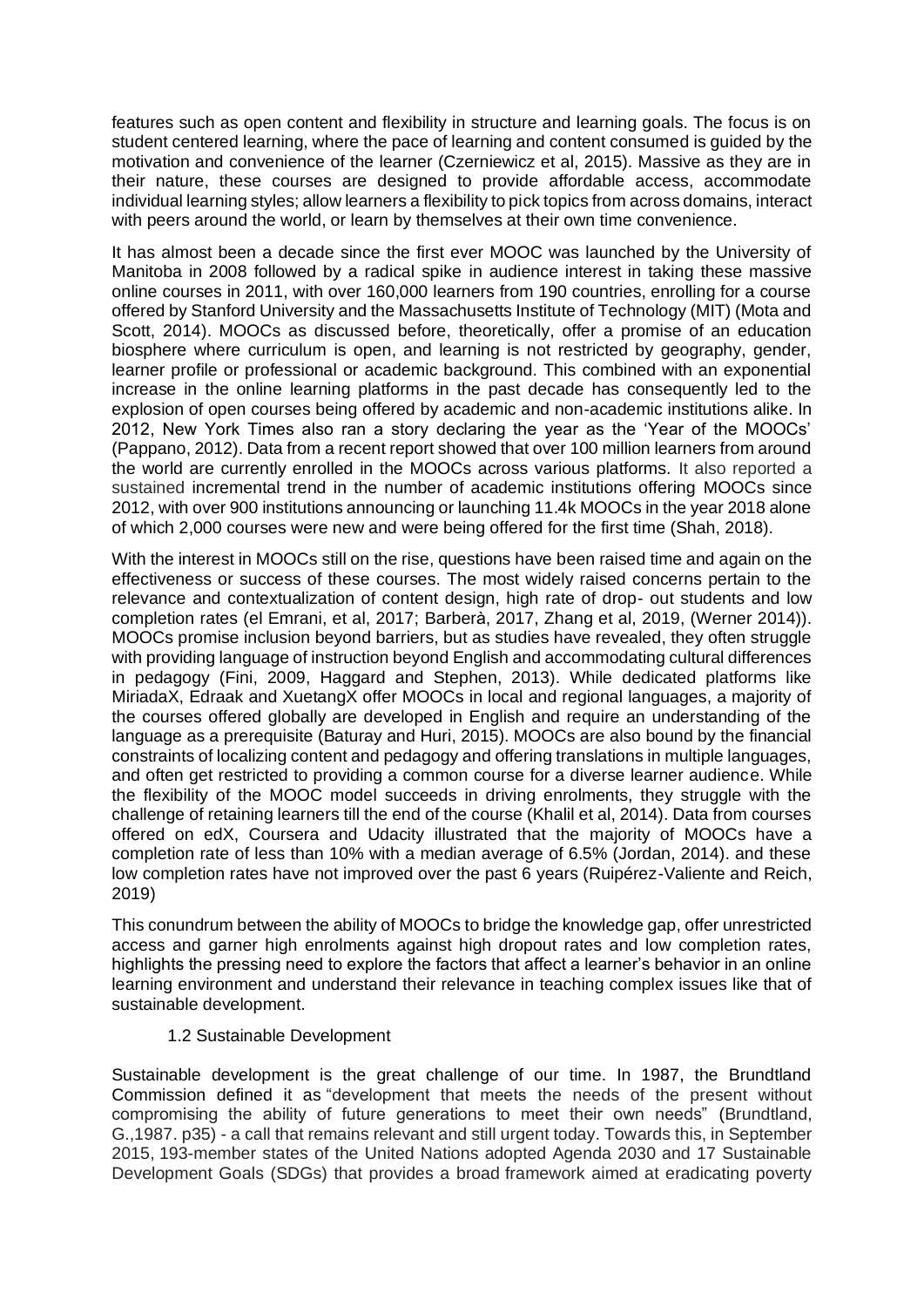features such as open content and flexibility in structure and learning goals. The focus is on student centered learning, where the pace of learning and content consumed is guided by the motivation and convenience of the learner (Czerniewicz et al, 2015). Massive as they are in their nature, these courses are designed to provide affordable access, accommodate individual learning styles; allow learners a flexibility to pick topics from across domains, interact with peers around the world, or learn by themselves at their own time convenience.

It has almost been a decade since the first ever MOOC was launched by the University of Manitoba in 2008 followed by a radical spike in audience interest in taking these massive online courses in 2011, with over 160,000 learners from 190 countries, enrolling for a course offered by Stanford University and the Massachusetts Institute of Technology (MIT) (Mota and Scott, 2014). MOOCs as discussed before, theoretically, offer a promise of an education biosphere where curriculum is open, and learning is not restricted by geography, gender, learner profile or professional or academic background. This combined with an exponential increase in the online learning platforms in the past decade has consequently led to the explosion of open courses being offered by academic and non-academic institutions alike. In 2012, New York Times also ran a story declaring the year as the 'Year of the MOOCs' (Pappano, 2012). Data from a recent report showed that over 100 million learners from around the world are currently enrolled in the MOOCs across various platforms. It also reported a sustained incremental trend in the number of academic institutions offering MOOCs since 2012, with over 900 institutions announcing or launching 11.4k MOOCs in the year 2018 alone of which 2,000 courses were new and were being offered for the first time (Shah, 2018).

With the interest in MOOCs still on the rise, questions have been raised time and again on the effectiveness or success of these courses. The most widely raised concerns pertain to the relevance and contextualization of content design, high rate of drop- out students and low completion rates (el Emrani, et al, 2017; Barberà, 2017, Zhang et al, 2019, (Werner 2014)). MOOCs promise inclusion beyond barriers, but as studies have revealed, they often struggle with providing language of instruction beyond English and accommodating cultural differences in pedagogy (Fini, 2009, Haggard and Stephen, 2013). While dedicated platforms like MiriadaX, Edraak and XuetangX offer MOOCs in local and regional languages, a majority of the courses offered globally are developed in English and require an understanding of the language as a prerequisite (Baturay and Huri, 2015). MOOCs are also bound by the financial constraints of localizing content and pedagogy and offering translations in multiple languages, and often get restricted to providing a common course for a diverse learner audience. While the flexibility of the MOOC model succeeds in driving enrolments, they struggle with the challenge of retaining learners till the end of the course (Khalil et al, 2014). Data from courses offered on edX, Coursera and Udacity illustrated that the majority of MOOCs have a completion rate of less than 10% with a median average of 6.5% (Jordan, 2014). and these low completion rates have not improved over the past 6 years (Ruipérez-Valiente and Reich, 2019)

This conundrum between the ability of MOOCs to bridge the knowledge gap, offer unrestricted access and garner high enrolments against high dropout rates and low completion rates, highlights the pressing need to explore the factors that affect a learner's behavior in an online learning environment and understand their relevance in teaching complex issues like that of sustainable development.

## 1.2 Sustainable Development

Sustainable development is the great challenge of our time. In 1987, the Brundtland Commission defined it as "development that meets the needs of the present without compromising the ability of future generations to meet their own needs" (Brundtland, G.,1987. p35) - a call that remains relevant and still urgent today. Towards this, in September 2015, 193-member states of the United Nations adopted Agenda 2030 and 17 Sustainable Development Goals (SDGs) that provides a broad framework aimed at eradicating poverty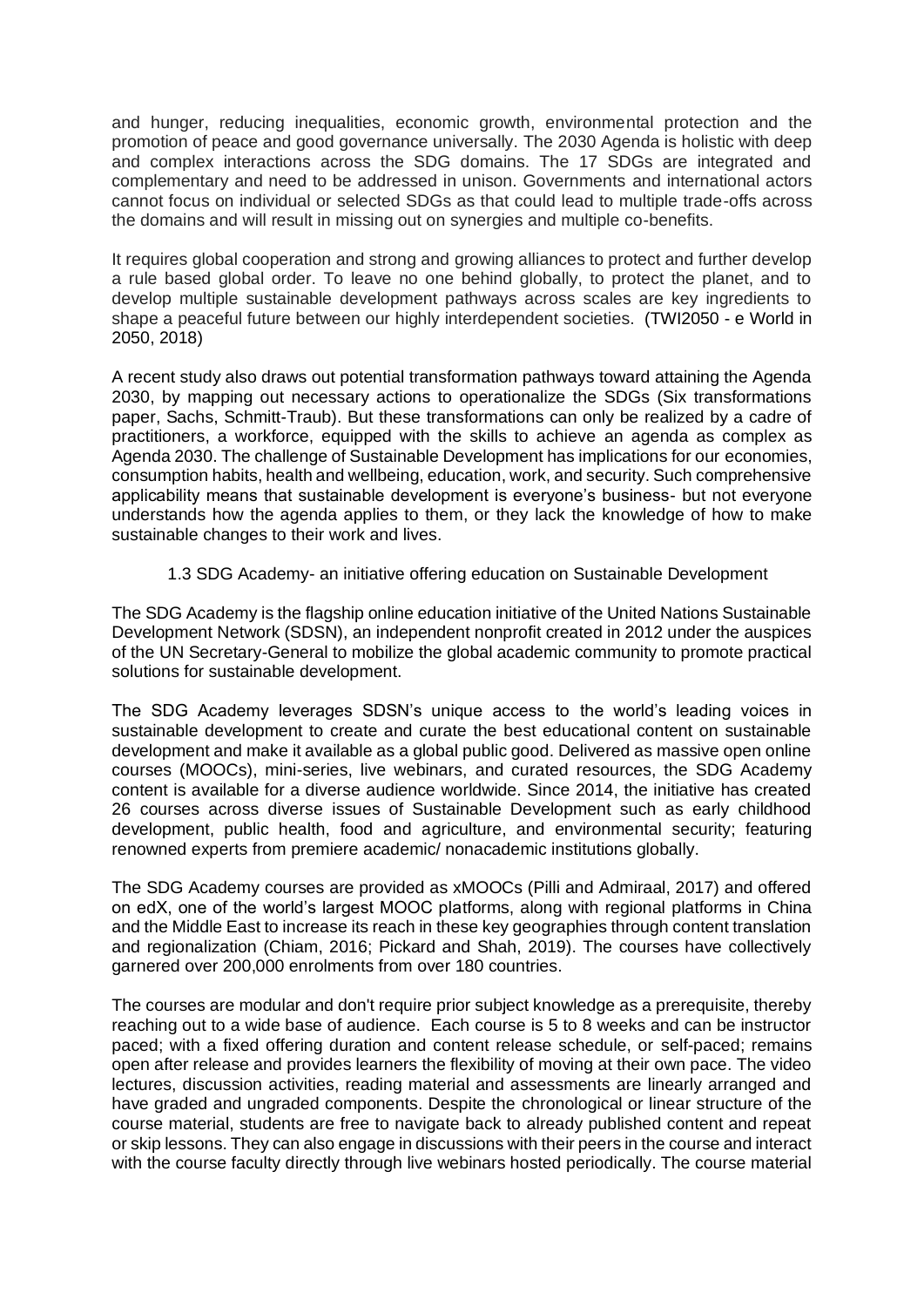and hunger, reducing inequalities, economic growth, environmental protection and the promotion of peace and good governance universally. The 2030 Agenda is holistic with deep and complex interactions across the SDG domains. The 17 SDGs are integrated and complementary and need to be addressed in unison. Governments and international actors cannot focus on individual or selected SDGs as that could lead to multiple trade-offs across the domains and will result in missing out on synergies and multiple co-benefits.

It requires global cooperation and strong and growing alliances to protect and further develop a rule based global order. To leave no one behind globally, to protect the planet, and to develop multiple sustainable development pathways across scales are key ingredients to shape a peaceful future between our highly interdependent societies. (TWI2050 - e World in 2050, 2018)

A recent study also draws out potential transformation pathways toward attaining the Agenda 2030, by mapping out necessary actions to operationalize the SDGs (Six transformations paper, Sachs, Schmitt-Traub). But these transformations can only be realized by a cadre of practitioners, a workforce, equipped with the skills to achieve an agenda as complex as Agenda 2030. The challenge of Sustainable Development has implications for our economies, consumption habits, health and wellbeing, education, work, and security. Such comprehensive applicability means that sustainable development is everyone's business- but not everyone understands how the agenda applies to them, or they lack the knowledge of how to make sustainable changes to their work and lives.

## 1.3 SDG Academy- an initiative offering education on Sustainable Development

The SDG Academy is the flagship online education initiative of the United Nations Sustainable Development Network (SDSN), an independent nonprofit created in 2012 under the auspices of the UN Secretary-General to mobilize the global academic community to promote practical solutions for sustainable development.

The SDG Academy leverages SDSN's unique access to the world's leading voices in sustainable development to create and curate the best educational content on sustainable development and make it available as a global public good. Delivered as massive open online courses (MOOCs), mini-series, live webinars, and curated resources, the SDG Academy content is available for a diverse audience worldwide. Since 2014, the initiative has created 26 courses across diverse issues of Sustainable Development such as early childhood development, public health, food and agriculture, and environmental security; featuring renowned experts from premiere academic/ nonacademic institutions globally.

The SDG Academy courses are provided as xMOOCs (Pilli and Admiraal, 2017) and offered on edX, one of the world's largest MOOC platforms, along with regional platforms in China and the Middle East to increase its reach in these key geographies through content translation and regionalization (Chiam, 2016; Pickard and Shah, 2019). The courses have collectively garnered over 200,000 enrolments from over 180 countries.

The courses are modular and don't require prior subject knowledge as a prerequisite, thereby reaching out to a wide base of audience. Each course is 5 to 8 weeks and can be instructor paced; with a fixed offering duration and content release schedule, or self-paced; remains open after release and provides learners the flexibility of moving at their own pace. The video lectures, discussion activities, reading material and assessments are linearly arranged and have graded and ungraded components. Despite the chronological or linear structure of the course material, students are free to navigate back to already published content and repeat or skip lessons. They can also engage in discussions with their peers in the course and interact with the course faculty directly through live webinars hosted periodically. The course material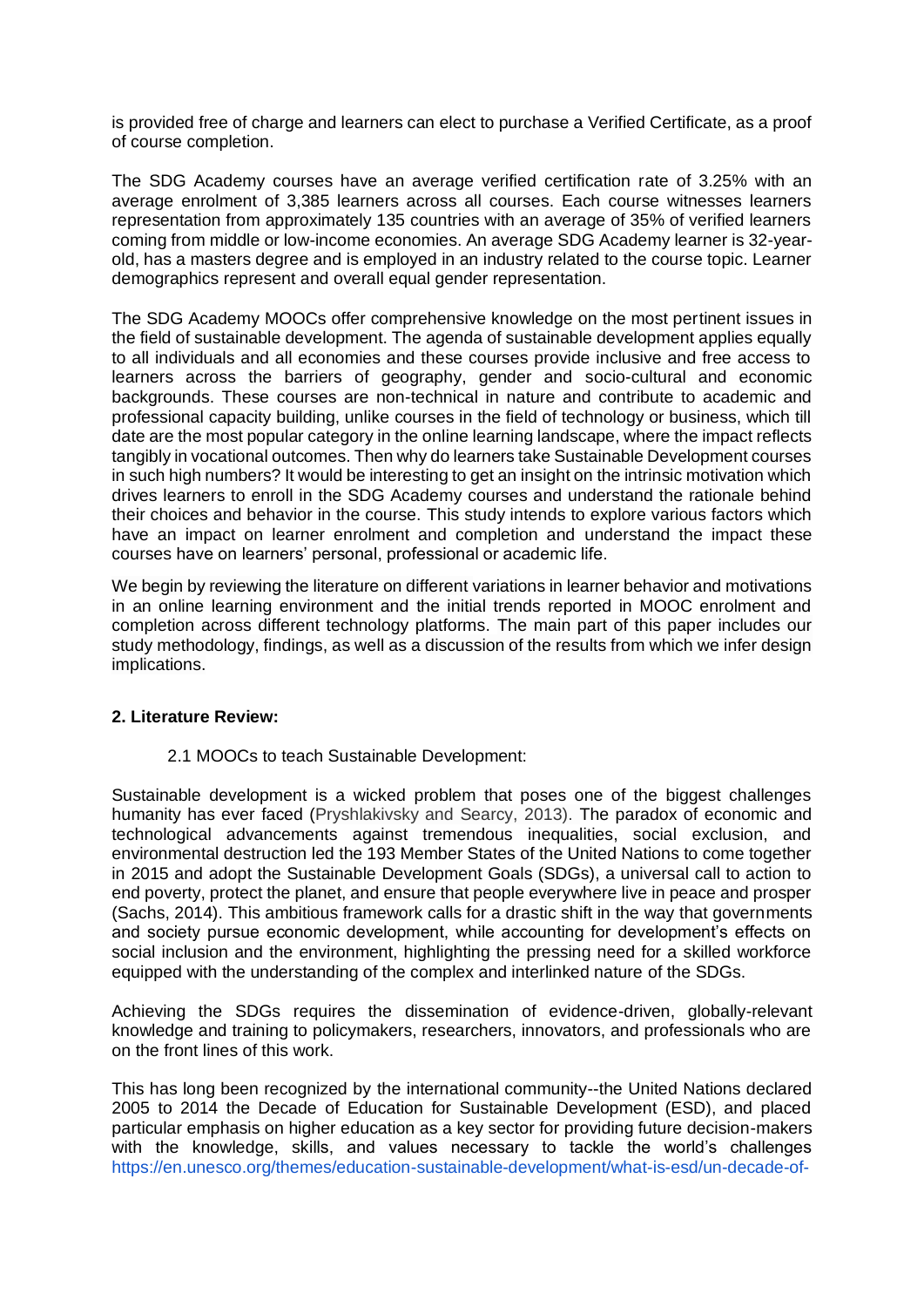is provided free of charge and learners can elect to purchase a Verified Certificate, as a proof of course completion.

The SDG Academy courses have an average verified certification rate of 3.25% with an average enrolment of 3,385 learners across all courses. Each course witnesses learners representation from approximately 135 countries with an average of 35% of verified learners coming from middle or low-income economies. An average SDG Academy learner is 32-yearold, has a masters degree and is employed in an industry related to the course topic. Learner demographics represent and overall equal gender representation.

The SDG Academy MOOCs offer comprehensive knowledge on the most pertinent issues in the field of sustainable development. The agenda of sustainable development applies equally to all individuals and all economies and these courses provide inclusive and free access to learners across the barriers of geography, gender and socio-cultural and economic backgrounds. These courses are non-technical in nature and contribute to academic and professional capacity building, unlike courses in the field of technology or business, which till date are the most popular category in the online learning landscape, where the impact reflects tangibly in vocational outcomes. Then why do learners take Sustainable Development courses in such high numbers? It would be interesting to get an insight on the intrinsic motivation which drives learners to enroll in the SDG Academy courses and understand the rationale behind their choices and behavior in the course. This study intends to explore various factors which have an impact on learner enrolment and completion and understand the impact these courses have on learners' personal, professional or academic life.

We begin by reviewing the literature on different variations in learner behavior and motivations in an online learning environment and the initial trends reported in MOOC enrolment and completion across different technology platforms. The main part of this paper includes our study methodology, findings, as well as a discussion of the results from which we infer design implications.

## **2. Literature Review:**

2.1 MOOCs to teach Sustainable Development:

Sustainable development is a wicked problem that poses one of the biggest challenges humanity has ever faced (Pryshlakivsky and Searcy, 2013). The paradox of economic and technological advancements against tremendous inequalities, social exclusion, and environmental destruction led the 193 Member States of the United Nations to come together in 2015 and adopt the Sustainable Development Goals (SDGs), a universal call to action to end poverty, protect the planet, and ensure that people everywhere live in peace and prosper (Sachs, 2014). This ambitious framework calls for a drastic shift in the way that governments and society pursue economic development, while accounting for development's effects on social inclusion and the environment, highlighting the pressing need for a skilled workforce equipped with the understanding of the complex and interlinked nature of the SDGs.

Achieving the SDGs requires the dissemination of evidence-driven, globally-relevant knowledge and training to policymakers, researchers, innovators, and professionals who are on the front lines of this work.

This has long been recognized by the international community--the United Nations declared 2005 to 2014 the Decade of Education for Sustainable Development (ESD), and placed particular emphasis on higher education as a key sector for providing future decision-makers with the knowledge, skills, and values necessary to tackle the world's challenges [https://en.unesco.org/themes/education-sustainable-development/what-is-esd/un-decade-of-](https://en.unesco.org/themes/education-sustainable-development/what-is-esd/un-decade-of-esd)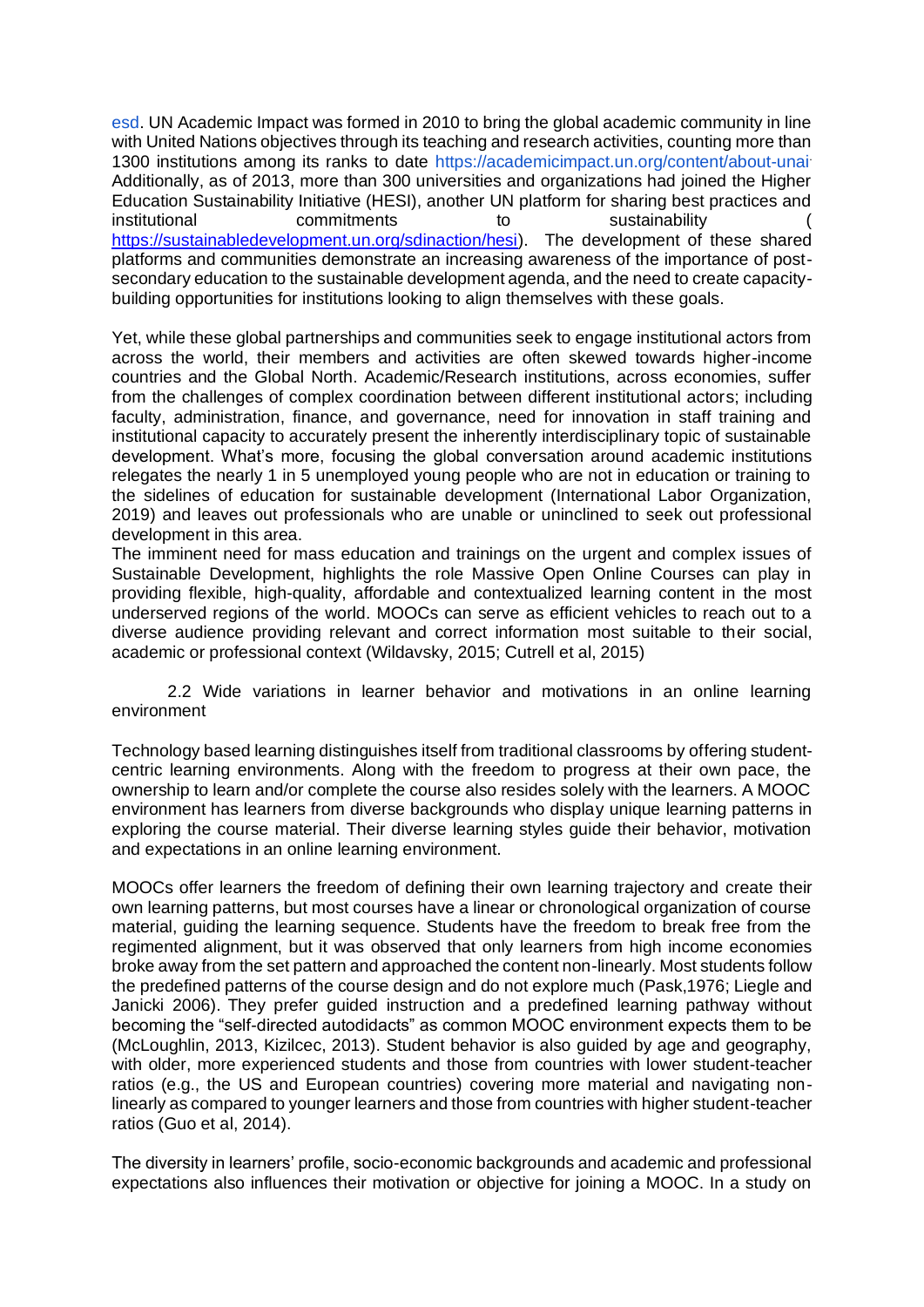[esd.](https://en.unesco.org/themes/education-sustainable-development/what-is-esd/un-decade-of-esd) UN Academic Impact was formed in 2010 to bring the global academic community in line with United Nations objectives through its teaching and research activities, counting more than 1300 institutions among its ranks to date<https://academicimpact.un.org/content/about-unai>. Additionally, as of 2013, more than 300 universities and organizations had joined the Higher Education Sustainability Initiative (HESI), another UN platform for sharing best practices and<br>institutional commitments to sustainability ( commitments to sustainability [https://sustainabledevelopment.un.org/sdinaction/hesi\)](https://sustainabledevelopment.un.org/sdinaction/hesi). The development of these shared platforms and communities demonstrate an increasing awareness of the importance of postsecondary education to the sustainable development agenda, and the need to create capacitybuilding opportunities for institutions looking to align themselves with these goals.

Yet, while these global partnerships and communities seek to engage institutional actors from across the world, their members and activities are often skewed towards higher-income countries and the Global North. Academic/Research institutions, across economies, suffer from the challenges of complex coordination between different institutional actors; including faculty, administration, finance, and governance, need for innovation in staff training and institutional capacity to accurately present the inherently interdisciplinary topic of sustainable development. What's more, focusing the global conversation around academic institutions relegates the nearly 1 in 5 unemployed young people who are not in education or training to the sidelines of education for sustainable development (International Labor Organization, 2019) and leaves out professionals who are unable or uninclined to seek out professional development in this area.

The imminent need for mass education and trainings on the urgent and complex issues of Sustainable Development, highlights the role Massive Open Online Courses can play in providing flexible, high-quality, affordable and contextualized learning content in the most underserved regions of the world. MOOCs can serve as efficient vehicles to reach out to a diverse audience providing relevant and correct information most suitable to their social, academic or professional context (Wildavsky, 2015; Cutrell et al, 2015)

2.2 Wide variations in learner behavior and motivations in an online learning environment

Technology based learning distinguishes itself from traditional classrooms by offering studentcentric learning environments. Along with the freedom to progress at their own pace, the ownership to learn and/or complete the course also resides solely with the learners. A MOOC environment has learners from diverse backgrounds who display unique learning patterns in exploring the course material. Their diverse learning styles guide their behavior, motivation and expectations in an online learning environment.

MOOCs offer learners the freedom of defining their own learning trajectory and create their own learning patterns, but most courses have a linear or chronological organization of course material, guiding the learning sequence. Students have the freedom to break free from the regimented alignment, but it was observed that only learners from high income economies broke away from the set pattern and approached the content non-linearly. Most students follow the predefined patterns of the course design and do not explore much (Pask,1976; Liegle and Janicki 2006). They prefer guided instruction and a predefined learning pathway without becoming the "self-directed autodidacts" as common MOOC environment expects them to be (McLoughlin, 2013, Kizilcec, 2013). Student behavior is also guided by age and geography, with older, more experienced students and those from countries with lower student-teacher ratios (e.g., the US and European countries) covering more material and navigating nonlinearly as compared to younger learners and those from countries with higher student-teacher ratios (Guo et al, 2014).

The diversity in learners' profile, socio-economic backgrounds and academic and professional expectations also influences their motivation or objective for joining a MOOC. In a study on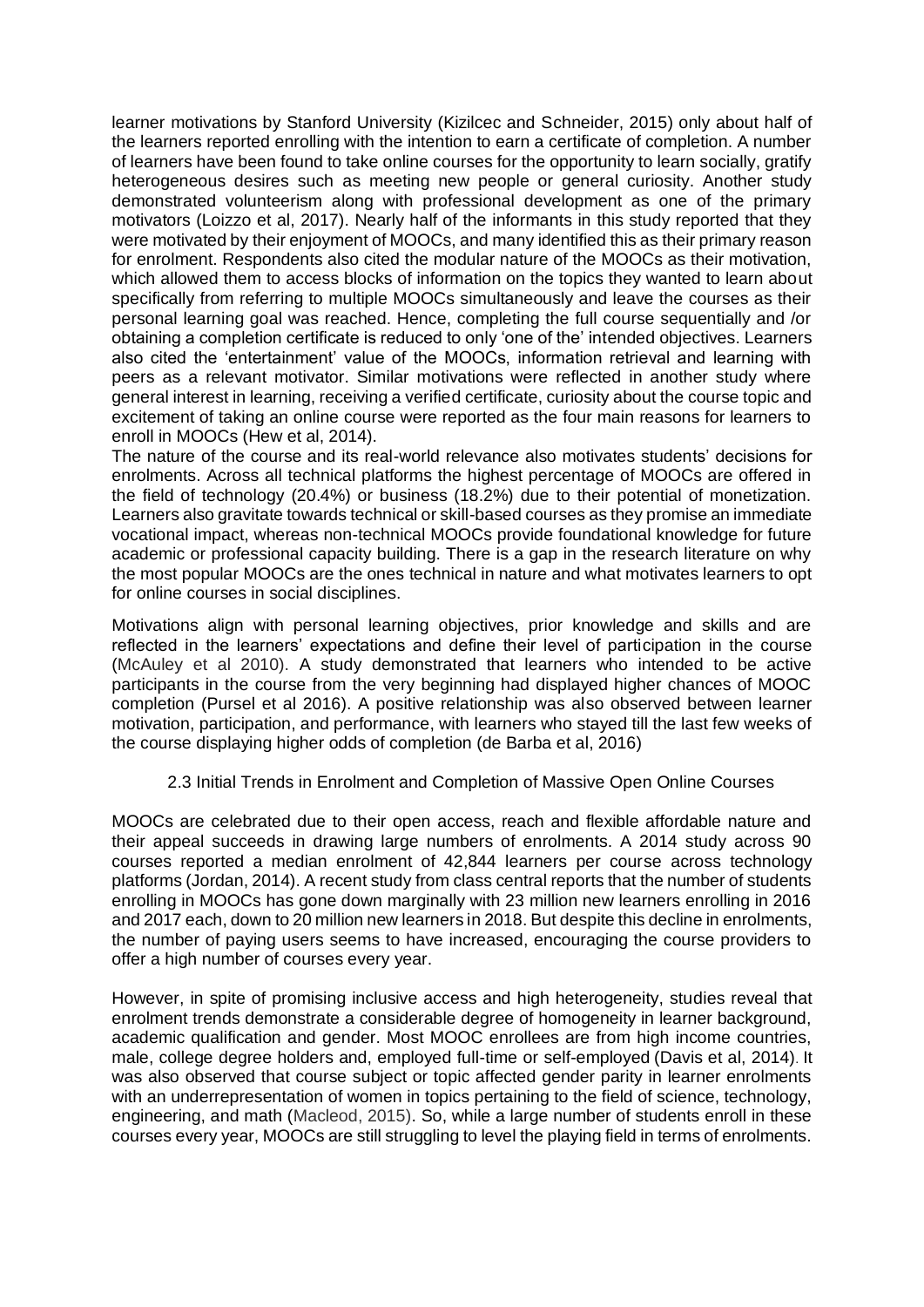learner motivations by Stanford University (Kizilcec and Schneider, 2015) only about half of the learners reported enrolling with the intention to earn a certificate of completion. A number of learners have been found to take online courses for the opportunity to learn socially, gratify heterogeneous desires such as meeting new people or general curiosity. Another study demonstrated volunteerism along with professional development as one of the primary motivators (Loizzo et al, 2017). Nearly half of the informants in this study reported that they were motivated by their enjoyment of MOOCs, and many identified this as their primary reason for enrolment. Respondents also cited the modular nature of the MOOCs as their motivation, which allowed them to access blocks of information on the topics they wanted to learn about specifically from referring to multiple MOOCs simultaneously and leave the courses as their personal learning goal was reached. Hence, completing the full course sequentially and /or obtaining a completion certificate is reduced to only 'one of the' intended objectives. Learners also cited the 'entertainment' value of the MOOCs, information retrieval and learning with peers as a relevant motivator. Similar motivations were reflected in another study where general interest in learning, receiving a verified certificate, curiosity about the course topic and excitement of taking an online course were reported as the four main reasons for learners to enroll in MOOCs (Hew et al, 2014).

The nature of the course and its real-world relevance also motivates students' decisions for enrolments. Across all technical platforms the highest percentage of MOOCs are offered in the field of technology (20.4%) or business (18.2%) due to their potential of monetization. Learners also gravitate towards technical or skill-based courses as they promise an immediate vocational impact, whereas non-technical MOOCs provide foundational knowledge for future academic or professional capacity building. There is a gap in the research literature on why the most popular MOOCs are the ones technical in nature and what motivates learners to opt for online courses in social disciplines.

Motivations align with personal learning objectives, prior knowledge and skills and are reflected in the learners' expectations and define their level of participation in the course (McAuley et al 2010). A study demonstrated that learners who intended to be active participants in the course from the very beginning had displayed higher chances of MOOC completion (Pursel et al 2016). A positive relationship was also observed between learner motivation, participation, and performance, with learners who stayed till the last few weeks of the course displaying higher odds of completion (de Barba et al, 2016)

## 2.3 Initial Trends in Enrolment and Completion of Massive Open Online Courses

MOOCs are celebrated due to their open access, reach and flexible affordable nature and their appeal succeeds in drawing large numbers of enrolments. A 2014 study across 90 courses reported a median enrolment of 42,844 learners per course across technology platforms (Jordan, 2014). A recent study from class central reports that the number of students enrolling in MOOCs has gone down marginally with 23 million new learners enrolling in 2016 and 2017 each, down to 20 million new learners in 2018. But despite this decline in enrolments, the number of paying users seems to have increased, encouraging the course providers to offer a high number of courses every year.

However, in spite of promising inclusive access and high heterogeneity, studies reveal that enrolment trends demonstrate a considerable degree of homogeneity in learner background, academic qualification and gender. Most MOOC enrollees are from high income countries, male, college degree holders and, employed full-time or self-employed (Davis et al, 2014). It was also observed that course subject or topic affected gender parity in learner enrolments with an underrepresentation of women in topics pertaining to the field of science, technology, engineering, and math (Macleod, 2015). So, while a large number of students enroll in these courses every year, MOOCs are still struggling to level the playing field in terms of enrolments.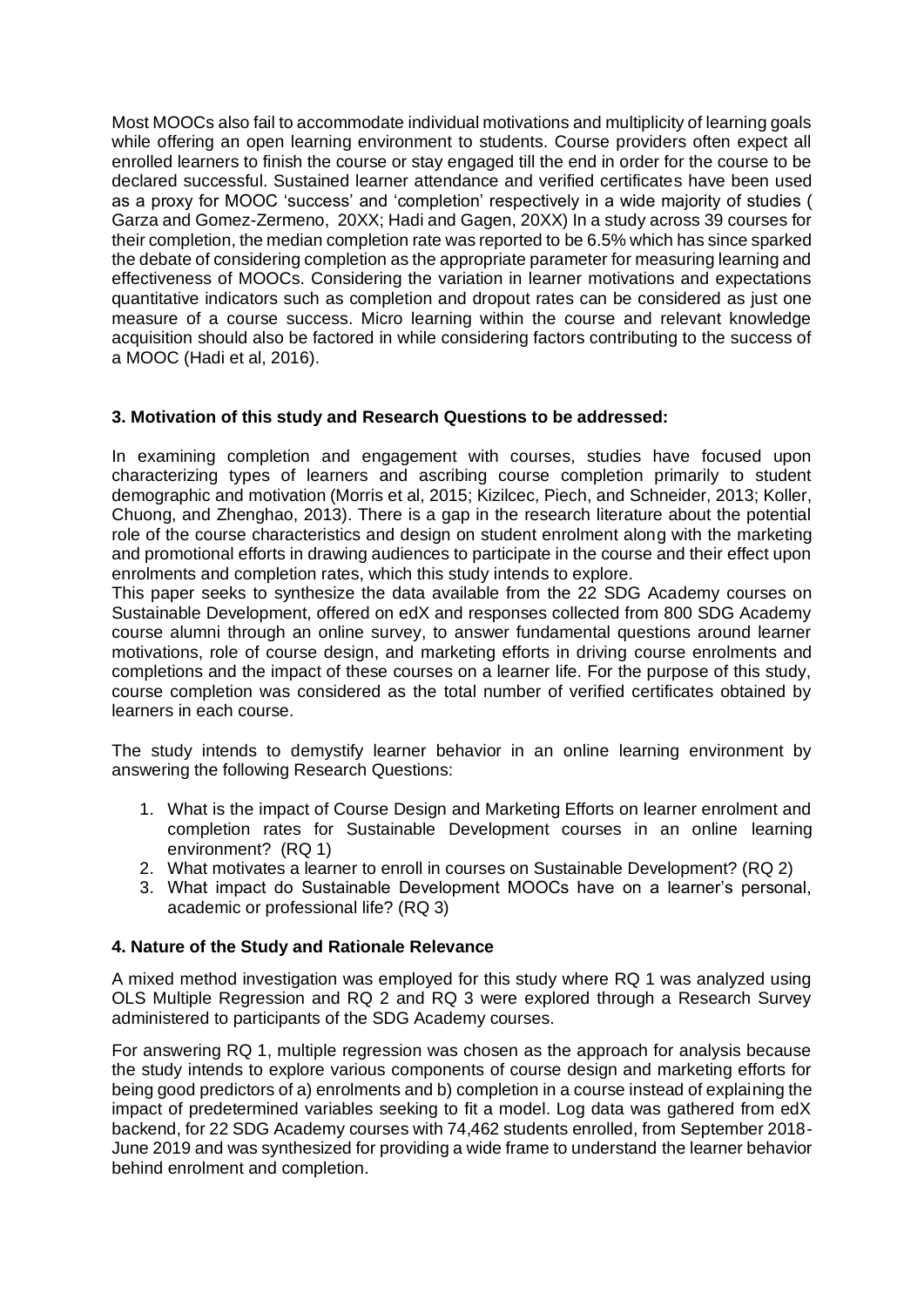Most MOOCs also fail to accommodate individual motivations and multiplicity of learning goals while offering an open learning environment to students. Course providers often expect all enrolled learners to finish the course or stay engaged till the end in order for the course to be declared successful. Sustained learner attendance and verified certificates have been used as a proxy for MOOC 'success' and 'completion' respectively in a wide majority of studies ( Garza and Gomez-Zermeno, 20XX; Hadi and Gagen, 20XX) In a study across 39 courses for their completion, the median completion rate was reported to be 6.5% which has since sparked the debate of considering completion as the appropriate parameter for measuring learning and effectiveness of MOOCs. Considering the variation in learner motivations and expectations quantitative indicators such as completion and dropout rates can be considered as just one measure of a course success. Micro learning within the course and relevant knowledge acquisition should also be factored in while considering factors contributing to the success of a MOOC (Hadi et al, 2016).

# **3. Motivation of this study and Research Questions to be addressed:**

In examining completion and engagement with courses, studies have focused upon characterizing types of learners and ascribing course completion primarily to student demographic and motivation (Morris et al, 2015; Kizilcec, Piech, and Schneider, 2013; Koller, Chuong, and Zhenghao, 2013). There is a gap in the research literature about the potential role of the course characteristics and design on student enrolment along with the marketing and promotional efforts in drawing audiences to participate in the course and their effect upon enrolments and completion rates, which this study intends to explore.

This paper seeks to synthesize the data available from the 22 SDG Academy courses on Sustainable Development, offered on edX and responses collected from 800 SDG Academy course alumni through an online survey, to answer fundamental questions around learner motivations, role of course design, and marketing efforts in driving course enrolments and completions and the impact of these courses on a learner life. For the purpose of this study, course completion was considered as the total number of verified certificates obtained by learners in each course.

The study intends to demystify learner behavior in an online learning environment by answering the following Research Questions:

- 1. What is the impact of Course Design and Marketing Efforts on learner enrolment and completion rates for Sustainable Development courses in an online learning environment? (RQ 1)
- 2. What motivates a learner to enroll in courses on Sustainable Development? (RQ 2)
- 3. What impact do Sustainable Development MOOCs have on a learner's personal, academic or professional life? (RQ 3)

## **4. Nature of the Study and Rationale Relevance**

A mixed method investigation was employed for this study where RQ 1 was analyzed using OLS Multiple Regression and RQ 2 and RQ 3 were explored through a Research Survey administered to participants of the SDG Academy courses.

For answering RQ 1, multiple regression was chosen as the approach for analysis because the study intends to explore various components of course design and marketing efforts for being good predictors of a) enrolments and b) completion in a course instead of explaining the impact of predetermined variables seeking to fit a model. Log data was gathered from edX backend, for 22 SDG Academy courses with 74,462 students enrolled, from September 2018- June 2019 and was synthesized for providing a wide frame to understand the learner behavior behind enrolment and completion.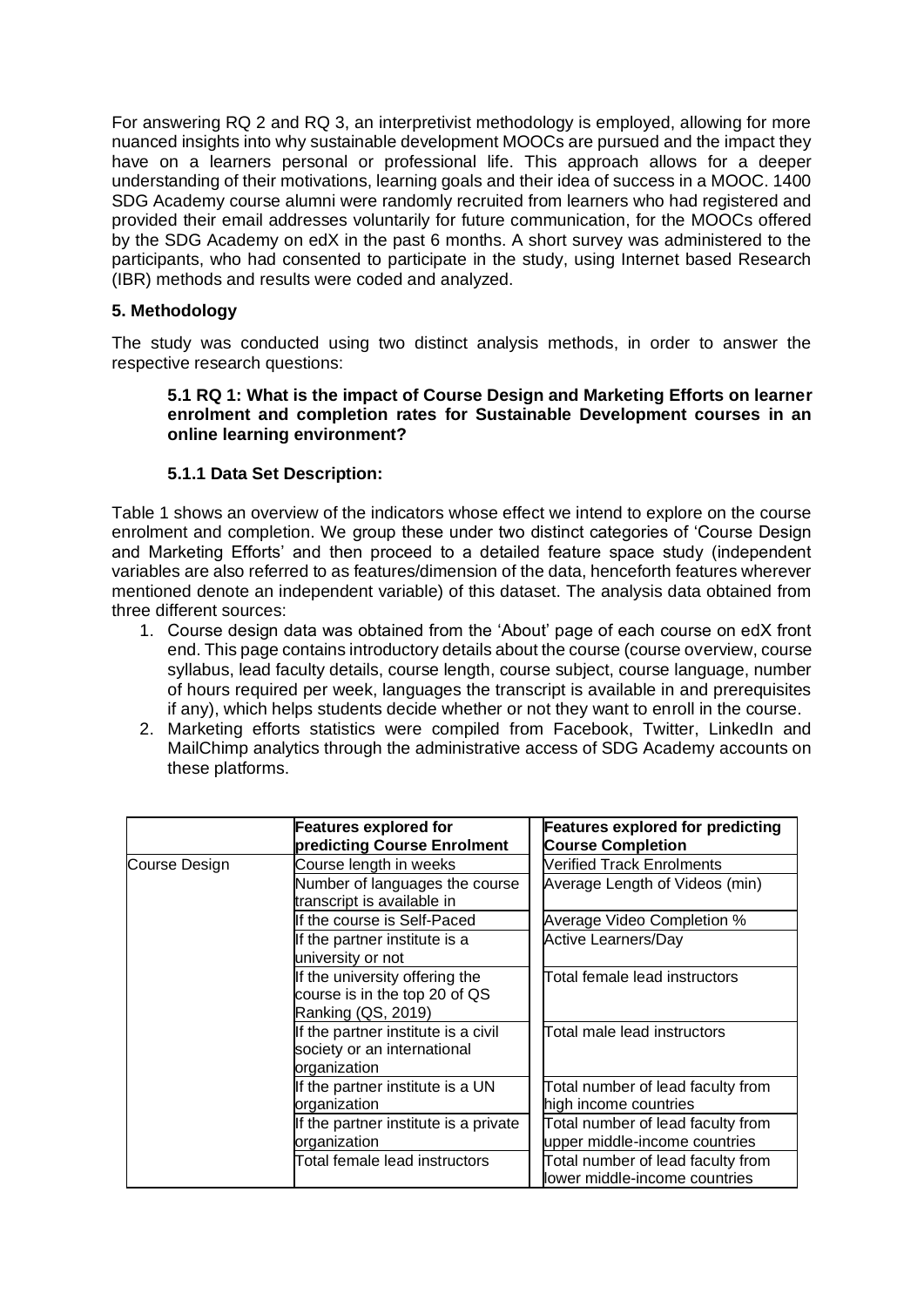For answering RQ 2 and RQ 3, an interpretivist methodology is employed, allowing for more nuanced insights into why sustainable development MOOCs are pursued and the impact they have on a learners personal or professional life. This approach allows for a deeper understanding of their motivations, learning goals and their idea of success in a MOOC. 1400 SDG Academy course alumni were randomly recruited from learners who had registered and provided their email addresses voluntarily for future communication, for the MOOCs offered by the SDG Academy on edX in the past 6 months. A short survey was administered to the participants, who had consented to participate in the study, using Internet based Research (IBR) methods and results were coded and analyzed.

# **5. Methodology**

The study was conducted using two distinct analysis methods, in order to answer the respective research questions:

### **5.1 RQ 1: What is the impact of Course Design and Marketing Efforts on learner enrolment and completion rates for Sustainable Development courses in an online learning environment?**

# **5.1.1 Data Set Description:**

Table 1 shows an overview of the indicators whose effect we intend to explore on the course enrolment and completion. We group these under two distinct categories of 'Course Design and Marketing Efforts' and then proceed to a detailed feature space study (independent variables are also referred to as features/dimension of the data, henceforth features wherever mentioned denote an independent variable) of this dataset. The analysis data obtained from three different sources:

- 1. Course design data was obtained from the 'About' page of each course on edX front end. This page contains introductory details about the course (course overview, course syllabus, lead faculty details, course length, course subject, course language, number of hours required per week, languages the transcript is available in and prerequisites if any), which helps students decide whether or not they want to enroll in the course.
- 2. Marketing efforts statistics were compiled from Facebook, Twitter, LinkedIn and MailChimp analytics through the administrative access of SDG Academy accounts on these platforms.

|               | <b>Features explored for</b><br>predicting Course Enrolment                           | <b>Features explored for predicting</b><br><b>Course Completion</b> |  |  |  |  |
|---------------|---------------------------------------------------------------------------------------|---------------------------------------------------------------------|--|--|--|--|
| Course Design | Course length in weeks                                                                | Verified Track Enrolments                                           |  |  |  |  |
|               | Number of languages the course<br>transcript is available in                          | Average Length of Videos (min)                                      |  |  |  |  |
|               | If the course is Self-Paced                                                           | Average Video Completion %                                          |  |  |  |  |
|               | If the partner institute is a<br>university or not                                    | <b>Active Learners/Day</b>                                          |  |  |  |  |
|               | If the university offering the<br>course is in the top 20 of QS<br>Ranking (QS, 2019) | Total female lead instructors<br>Total male lead instructors        |  |  |  |  |
|               | If the partner institute is a civil<br>society or an international<br>organization    |                                                                     |  |  |  |  |
|               | If the partner institute is a UN<br>organization                                      | Total number of lead faculty from<br>high income countries          |  |  |  |  |
|               | If the partner institute is a private<br>organization                                 | Total number of lead faculty from<br>upper middle-income countries  |  |  |  |  |
|               | Total female lead instructors                                                         | Total number of lead faculty from<br>lower middle-income countries  |  |  |  |  |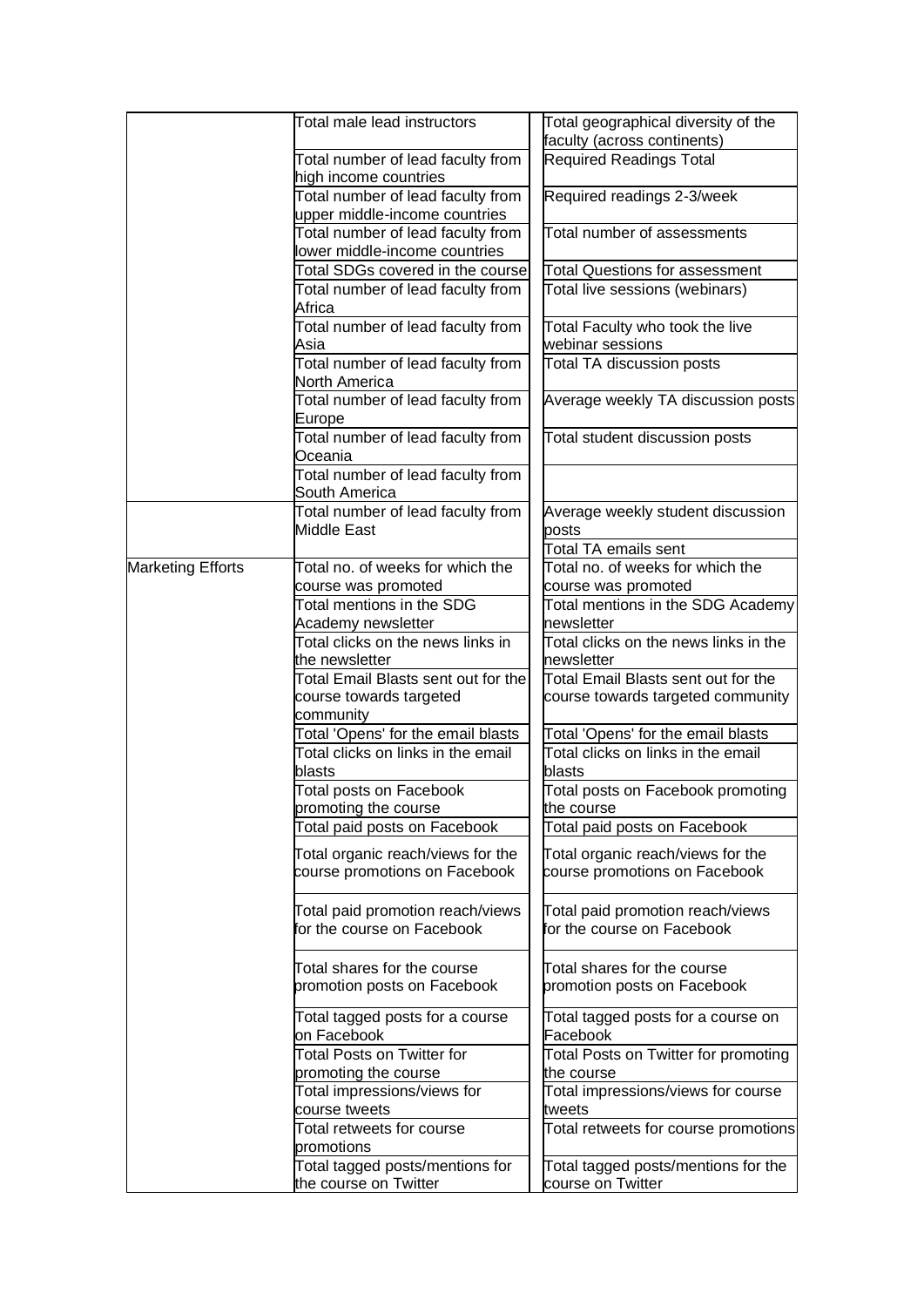|                          | Total male lead instructors                                        | Total geographical diversity of the<br>faculty (across continents) |  |  |
|--------------------------|--------------------------------------------------------------------|--------------------------------------------------------------------|--|--|
|                          | Total number of lead faculty from<br>high income countries         | <b>Required Readings Total</b>                                     |  |  |
|                          | Total number of lead faculty from<br>upper middle-income countries | Required readings 2-3/week                                         |  |  |
|                          | Total number of lead faculty from<br>lower middle-income countries | Total number of assessments                                        |  |  |
|                          | Total SDGs covered in the course                                   | Total Questions for assessment                                     |  |  |
|                          | Total number of lead faculty from<br>Africa                        | Total live sessions (webinars)                                     |  |  |
|                          | Total number of lead faculty from<br>Asia                          | Total Faculty who took the live<br>webinar sessions                |  |  |
|                          | Total number of lead faculty from<br>North America                 | <b>Total TA discussion posts</b>                                   |  |  |
|                          | Total number of lead faculty from<br>Europe                        | Average weekly TA discussion posts                                 |  |  |
|                          | Total number of lead faculty from<br>Oceania                       | Total student discussion posts                                     |  |  |
|                          | Total number of lead faculty from<br>South America                 |                                                                    |  |  |
|                          | Total number of lead faculty from<br>Middle East                   | Average weekly student discussion<br>posts                         |  |  |
|                          |                                                                    | <b>Total TA emails sent</b>                                        |  |  |
| <b>Marketing Efforts</b> | Total no. of weeks for which the                                   | Total no. of weeks for which the                                   |  |  |
|                          | course was promoted                                                | course was promoted                                                |  |  |
|                          | Total mentions in the SDG                                          | Total mentions in the SDG Academy                                  |  |  |
|                          | Academy newsletter<br>Total clicks on the news links in            | newsletter<br>Total clicks on the news links in the                |  |  |
|                          | the newsletter                                                     | newsletter                                                         |  |  |
|                          | Total Email Blasts sent out for the                                | Total Email Blasts sent out for the                                |  |  |
|                          | course towards targeted<br>community                               | course towards targeted community                                  |  |  |
|                          | Total 'Opens' for the email blasts                                 | Total 'Opens' for the email blasts                                 |  |  |
|                          | Total clicks on links in the email<br>blasts                       | Total clicks on links in the email<br>blasts                       |  |  |
|                          | Total posts on Facebook                                            | Total posts on Facebook promoting                                  |  |  |
|                          | promoting the course                                               | the course                                                         |  |  |
|                          | Total paid posts on Facebook                                       | Total paid posts on Facebook                                       |  |  |
|                          | Total organic reach/views for the<br>course promotions on Facebook | Total organic reach/views for the<br>course promotions on Facebook |  |  |
|                          | Total paid promotion reach/views<br>for the course on Facebook     | Total paid promotion reach/views<br>or the course on Facebook      |  |  |
|                          | Total shares for the course<br>promotion posts on Facebook         | Total shares for the course<br>promotion posts on Facebook         |  |  |
|                          | Total tagged posts for a course<br>on Facebook                     | Total tagged posts for a course on<br>Facebook                     |  |  |
|                          | <b>Total Posts on Twitter for</b><br>promoting the course          | Total Posts on Twitter for promoting<br>the course                 |  |  |
|                          | Total impressions/views for<br>course tweets                       | Total impressions/views for course<br>tweets                       |  |  |
|                          | Total retweets for course<br>promotions                            | Total retweets for course promotions                               |  |  |
|                          | Total tagged posts/mentions for<br>the course on Twitter           | Total tagged posts/mentions for the<br>course on Twitter           |  |  |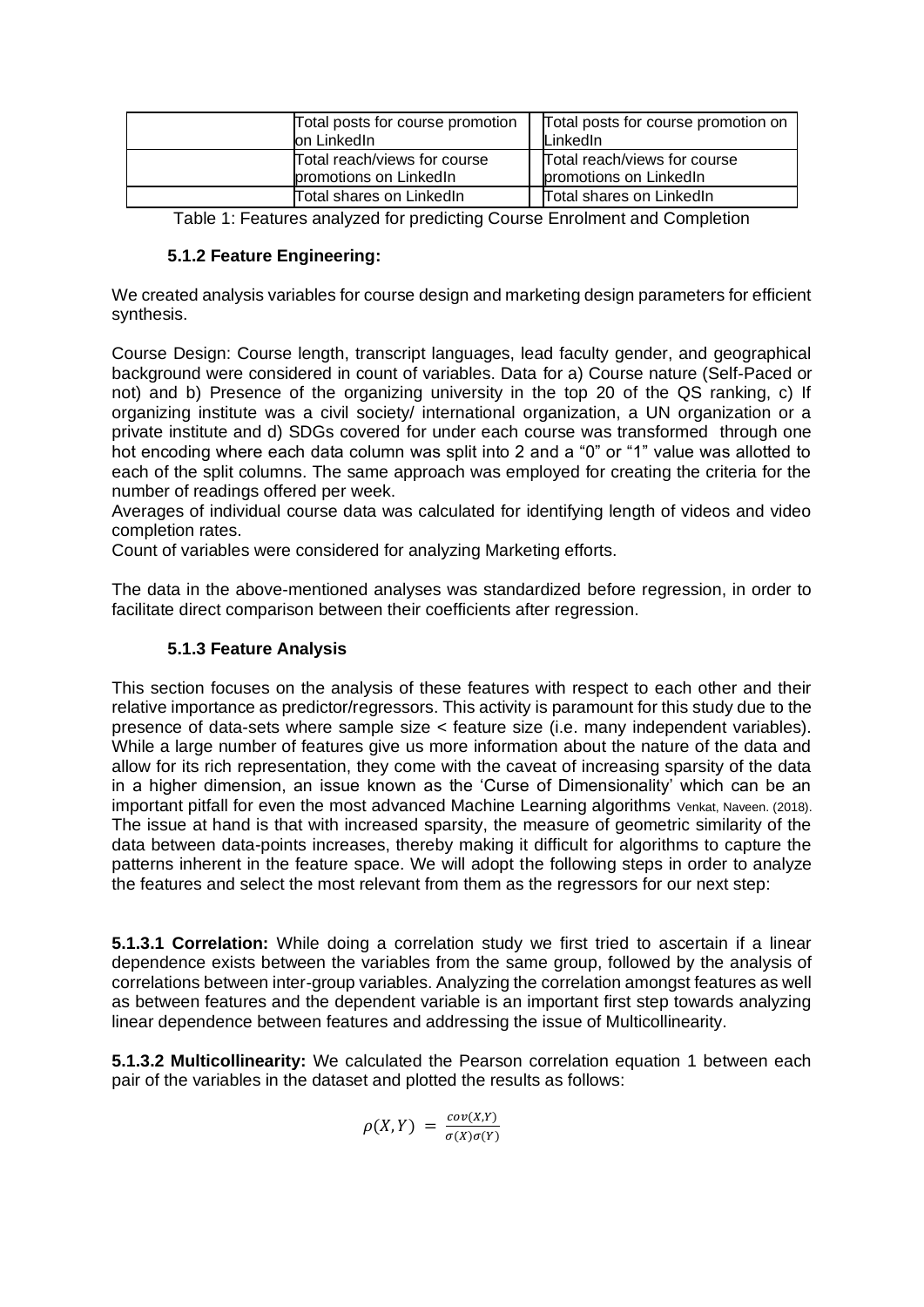| Total posts for course promotion | Total posts for course promotion on |
|----------------------------------|-------------------------------------|
| on LinkedIn                      | LinkedIn                            |
| Total reach/views for course     | Total reach/views for course        |
| promotions on LinkedIn           | promotions on LinkedIn              |
| Total shares on LinkedIn         | Total shares on LinkedIn            |

Table 1: Features analyzed for predicting Course Enrolment and Completion

# **5.1.2 Feature Engineering:**

We created analysis variables for course design and marketing design parameters for efficient synthesis.

Course Design: Course length, transcript languages, lead faculty gender, and geographical background were considered in count of variables. Data for a) Course nature (Self-Paced or not) and b) Presence of the organizing university in the top 20 of the QS ranking, c) If organizing institute was a civil society/ international organization, a UN organization or a private institute and d) SDGs covered for under each course was transformed through one hot encoding where each data column was split into 2 and a "0" or "1" value was allotted to each of the split columns. The same approach was employed for creating the criteria for the number of readings offered per week.

Averages of individual course data was calculated for identifying length of videos and video completion rates.

Count of variables were considered for analyzing Marketing efforts.

The data in the above-mentioned analyses was standardized before regression, in order to facilitate direct comparison between their coefficients after regression.

## **5.1.3 Feature Analysis**

This section focuses on the analysis of these features with respect to each other and their relative importance as predictor/regressors. This activity is paramount for this study due to the presence of data-sets where sample size < feature size (i.e. many independent variables). While a large number of features give us more information about the nature of the data and allow for its rich representation, they come with the caveat of increasing sparsity of the data in a higher dimension, an issue known as the 'Curse of Dimensionality' which can be an important pitfall for even the most advanced Machine Learning algorithms Venkat, Naveen. (2018). The issue at hand is that with increased sparsity, the measure of geometric similarity of the data between data-points increases, thereby making it difficult for algorithms to capture the patterns inherent in the feature space. We will adopt the following steps in order to analyze the features and select the most relevant from them as the regressors for our next step:

**5.1.3.1 Correlation:** While doing a correlation study we first tried to ascertain if a linear dependence exists between the variables from the same group, followed by the analysis of correlations between inter-group variables. Analyzing the correlation amongst features as well as between features and the dependent variable is an important first step towards analyzing linear dependence between features and addressing the issue of Multicollinearity.

**5.1.3.2 Multicollinearity:** We calculated the Pearson correlation equation 1 between each pair of the variables in the dataset and plotted the results as follows:

 $\rho(X,Y) = \frac{cov(X,Y)}{cov(X,Y)}$  $\sigma(X)\sigma(Y)$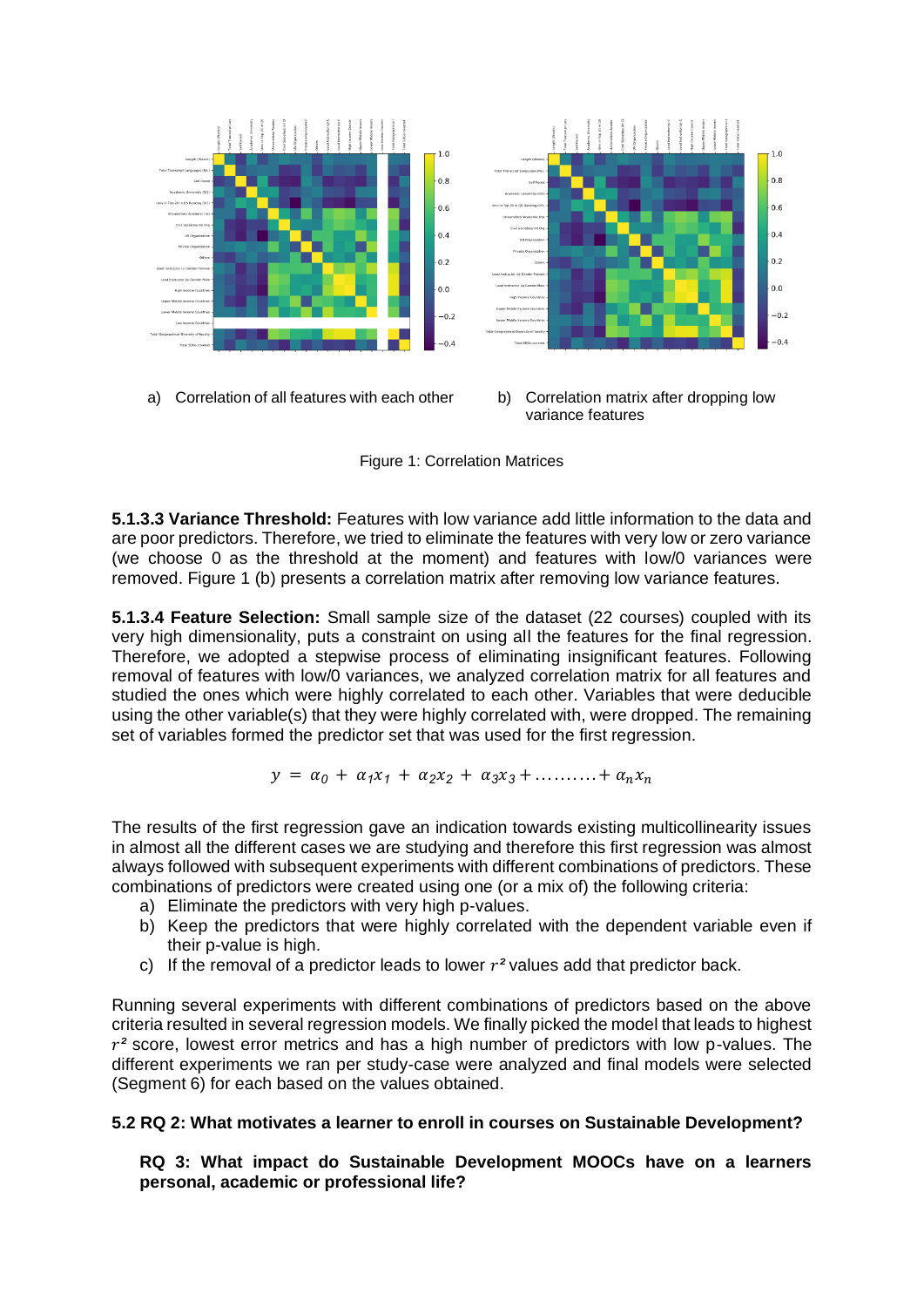

Figure 1: Correlation Matrices

**5.1.3.3 Variance Threshold:** Features with low variance add little information to the data and are poor predictors. Therefore, we tried to eliminate the features with very low or zero variance (we choose 0 as the threshold at the moment) and features with low/0 variances were removed. Figure 1 (b) presents a correlation matrix after removing low variance features.

**5.1.3.4 Feature Selection:** Small sample size of the dataset (22 courses) coupled with its very high dimensionality, puts a constraint on using all the features for the final regression. Therefore, we adopted a stepwise process of eliminating insignificant features. Following removal of features with low/0 variances, we analyzed correlation matrix for all features and studied the ones which were highly correlated to each other. Variables that were deducible using the other variable(s) that they were highly correlated with, were dropped. The remaining set of variables formed the predictor set that was used for the first regression.

$$
y = \alpha_0 + \alpha_1 x_1 + \alpha_2 x_2 + \alpha_3 x_3 + \ldots + \alpha_n x_n
$$

The results of the first regression gave an indication towards existing multicollinearity issues in almost all the different cases we are studying and therefore this first regression was almost always followed with subsequent experiments with different combinations of predictors. These combinations of predictors were created using one (or a mix of) the following criteria:

- a) Eliminate the predictors with very high p-values.
- b) Keep the predictors that were highly correlated with the dependent variable even if their p-value is high.
- c) If the removal of a predictor leads to lower  $r^2$  values add that predictor back.

Running several experiments with different combinations of predictors based on the above criteria resulted in several regression models. We finally picked the model that leads to highest  $r<sup>2</sup>$  score, lowest error metrics and has a high number of predictors with low p-values. The different experiments we ran per study-case were analyzed and final models were selected (Segment 6) for each based on the values obtained.

## **5.2 RQ 2: What motivates a learner to enroll in courses on Sustainable Development?**

**RQ 3: What impact do Sustainable Development MOOCs have on a learners personal, academic or professional life?**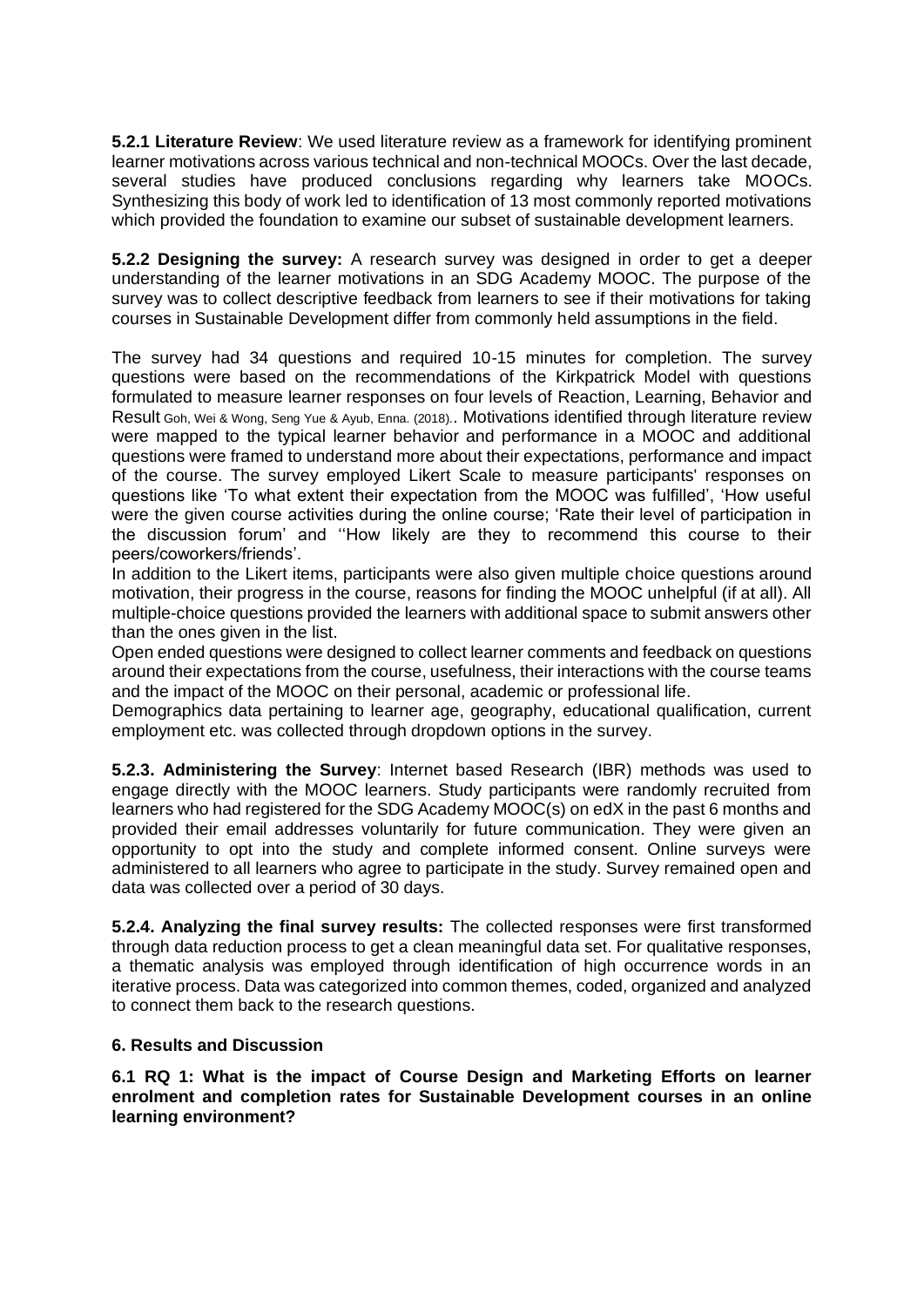**5.2.1 Literature Review**: We used literature review as a framework for identifying prominent learner motivations across various technical and non-technical MOOCs. Over the last decade, several studies have produced conclusions regarding why learners take MOOCs. Synthesizing this body of work led to identification of 13 most commonly reported motivations which provided the foundation to examine our subset of sustainable development learners.

**5.2.2 Designing the survey:** A research survey was designed in order to get a deeper understanding of the learner motivations in an SDG Academy MOOC. The purpose of the survey was to collect descriptive feedback from learners to see if their motivations for taking courses in Sustainable Development differ from commonly held assumptions in the field.

The survey had 34 questions and required 10-15 minutes for completion. The survey questions were based on the recommendations of the Kirkpatrick Model with questions formulated to measure learner responses on four levels of Reaction, Learning, Behavior and Result Goh, Wei & Wong, Seng Yue & Ayub, Enna. (2018).. Motivations identified through literature review were mapped to the typical learner behavior and performance in a MOOC and additional questions were framed to understand more about their expectations, performance and impact of the course. The survey employed Likert Scale to measure participants' responses on questions like 'To what extent their expectation from the MOOC was fulfilled', 'How useful were the given course activities during the online course; 'Rate their level of participation in the discussion forum' and ''How likely are they to recommend this course to their peers/coworkers/friends'.

In addition to the Likert items, participants were also given multiple choice questions around motivation, their progress in the course, reasons for finding the MOOC unhelpful (if at all). All multiple-choice questions provided the learners with additional space to submit answers other than the ones given in the list.

Open ended questions were designed to collect learner comments and feedback on questions around their expectations from the course, usefulness, their interactions with the course teams and the impact of the MOOC on their personal, academic or professional life.

Demographics data pertaining to learner age, geography, educational qualification, current employment etc. was collected through dropdown options in the survey.

**5.2.3. Administering the Survey**: Internet based Research (IBR) methods was used to engage directly with the MOOC learners. Study participants were randomly recruited from learners who had registered for the SDG Academy MOOC(s) on edX in the past 6 months and provided their email addresses voluntarily for future communication. They were given an opportunity to opt into the study and complete informed consent. Online surveys were administered to all learners who agree to participate in the study. Survey remained open and data was collected over a period of 30 days.

**5.2.4. Analyzing the final survey results:** The collected responses were first transformed through data reduction process to get a clean meaningful data set. For qualitative responses, a thematic analysis was employed through identification of high occurrence words in an iterative process. Data was categorized into common themes, coded, organized and analyzed to connect them back to the research questions.

## **6. Results and Discussion**

**6.1 RQ 1: What is the impact of Course Design and Marketing Efforts on learner enrolment and completion rates for Sustainable Development courses in an online learning environment?**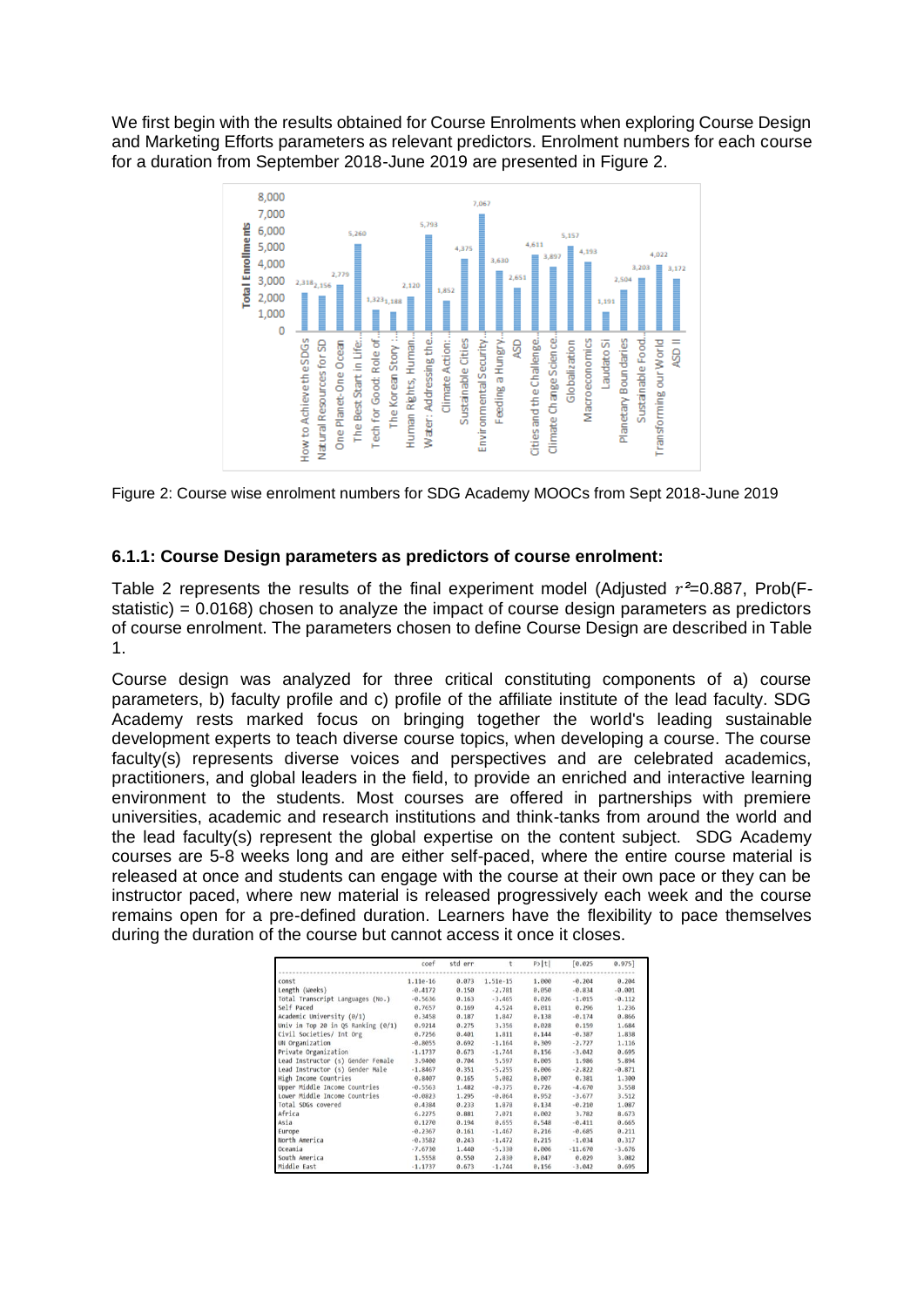We first begin with the results obtained for Course Enrolments when exploring Course Design and Marketing Efforts parameters as relevant predictors. Enrolment numbers for each course for a duration from September 2018-June 2019 are presented in Figure 2.





## **6.1.1: Course Design parameters as predictors of course enrolment:**

Table 2 represents the results of the final experiment model (Adjusted  $r^2=0.887$ , Prob(Fstatistic) = 0.0168) chosen to analyze the impact of course design parameters as predictors of course enrolment. The parameters chosen to define Course Design are described in Table 1.

Course design was analyzed for three critical constituting components of a) course parameters, b) faculty profile and c) profile of the affiliate institute of the lead faculty. SDG Academy rests marked focus on bringing together the world's leading sustainable development experts to teach diverse course topics, when developing a course. The course faculty(s) represents diverse voices and perspectives and are celebrated academics, practitioners, and global leaders in the field, to provide an enriched and interactive learning environment to the students. Most courses are offered in partnerships with premiere universities, academic and research institutions and think-tanks from around the world and the lead faculty(s) represent the global expertise on the content subject. SDG Academy courses are 5-8 weeks long and are either self-paced, where the entire course material is released at once and students can engage with the course at their own pace or they can be instructor paced, where new material is released progressively each week and the course remains open for a pre-defined duration. Learners have the flexibility to pace themselves during the duration of the course but cannot access it once it closes.

|                                      | coef       | std err | t        | P >  t | [0.025]   | 0.975]   |
|--------------------------------------|------------|---------|----------|--------|-----------|----------|
| const                                | $1.11e-16$ | 0.073   | 1.51e-15 | 1.000  | $-0.204$  | 0.204    |
| Length (Weeks)                       | $-0.4172$  | 0.150   | $-2.781$ | 0.050  | $-0.834$  | $-0.001$ |
| Total Transcript Languages (No.)     | $-0.5636$  | 0.163   | $-3.465$ | 0.026  | $-1.015$  | $-0.112$ |
| Self Paced                           | 0.7657     | 0.169   | 4.524    | 0.011  | 0.296     | 1.236    |
| Academic University (0/1)            | 0.3458     | 0.187   | 1.847    | 0.138  | $-0.174$  | 0.866    |
| Univ in Top 20 in QS Ranking $(0/1)$ | 0.9214     | 0.275   | 3,356    | 0.028  | 0.159     | 1.684    |
| Civil Societies/ Int Org             | 0.7256     | 0.401   | 1.811    | 0.144  | $-0.387$  | 1.838    |
| UN Organization                      | $-0.8055$  | 0.692   | $-1.164$ | 0.309  | $-2.727$  | 1.116    |
| Private Organization                 | $-1.1737$  | 0.673   | $-1.744$ | 0.156  | $-3.042$  | 0.695    |
| Lead Instructor (s) Gender Female    | 3.9400     | 0.704   | 5.597    | 0.005  | 1,986     | 5.894    |
| Lead Instructor (s) Gender Male      | $-1.8467$  | 0.351   | $-5.255$ | 0.006  | $-2.822$  | $-0.871$ |
| High Income Countries                | 0.8407     | 0.165   | 5,082    | 0.007  | 0.381     | 1,300    |
| Upper Middle Income Countries        | $-0.5563$  | 1,482   | $-0.375$ | 0.726  | $-4.670$  | 3.558    |
| Lower Middle Income Countries        | $-0.0823$  | 1.295   | $-0.064$ | 0.952  | $-3.677$  | 3,512    |
| Total SDGs covered                   | 0.4384     | 0.233   | 1.878    | 0.134  | $-0.210$  | 1.087    |
| Africa                               | 6.2275     | 0.881   | 7.071    | 0.002  | 3,782     | 8.673    |
| Asia                                 | 0.1270     | 0.194   | 0.655    | 0.548  | $-0.411$  | 0.665    |
| Europe                               | $-0.2367$  | 0.161   | $-1.467$ | 0.216  | $-0.685$  | 0.211    |
| North America                        | $-0.3582$  | 0.243   | $-1.472$ | 0.215  | $-1.034$  | 0.317    |
| Oceania                              | $-7.6730$  | 1.440   | $-5.330$ | 0.006  | $-11.670$ | $-3,676$ |
| South America                        | 1.5558     | 0.550   | 2.830    | 0.047  | 0.029     | 3.082    |
| Middle East                          | $-1.1737$  | 0.673   | $-1.744$ | 0.156  | $-3.042$  | 0.695    |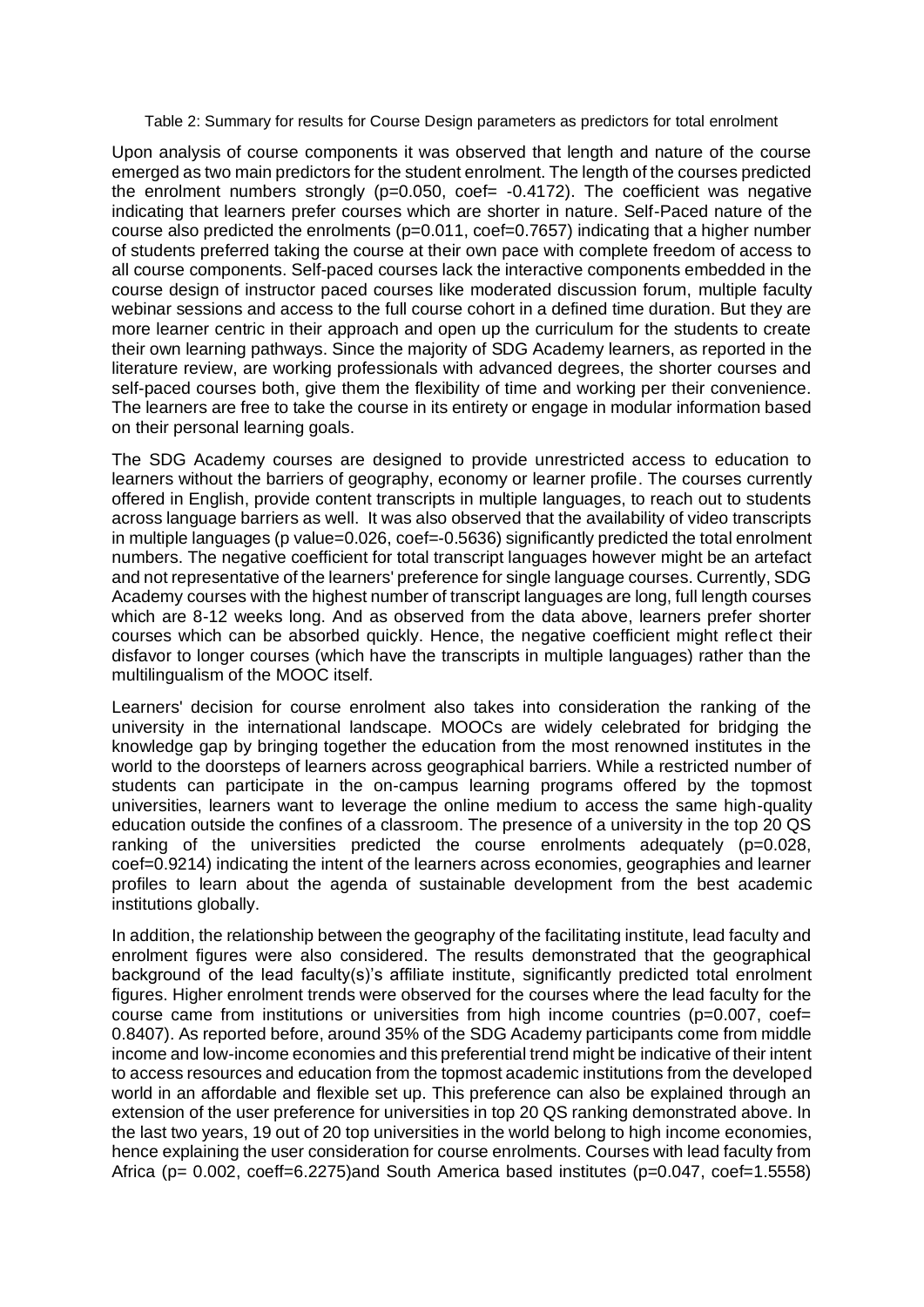Table 2: Summary for results for Course Design parameters as predictors for total enrolment

Upon analysis of course components it was observed that length and nature of the course emerged as two main predictors for the student enrolment. The length of the courses predicted the enrolment numbers strongly ( $p=0.050$ , coef=  $-0.4172$ ). The coefficient was negative indicating that learners prefer courses which are shorter in nature. Self-Paced nature of the course also predicted the enrolments (p=0.011, coef=0.7657) indicating that a higher number of students preferred taking the course at their own pace with complete freedom of access to all course components. Self-paced courses lack the interactive components embedded in the course design of instructor paced courses like moderated discussion forum, multiple faculty webinar sessions and access to the full course cohort in a defined time duration. But they are more learner centric in their approach and open up the curriculum for the students to create their own learning pathways. Since the majority of SDG Academy learners, as reported in the literature review, are working professionals with advanced degrees, the shorter courses and self-paced courses both, give them the flexibility of time and working per their convenience. The learners are free to take the course in its entirety or engage in modular information based on their personal learning goals.

The SDG Academy courses are designed to provide unrestricted access to education to learners without the barriers of geography, economy or learner profile. The courses currently offered in English, provide content transcripts in multiple languages, to reach out to students across language barriers as well. It was also observed that the availability of video transcripts in multiple languages (p value=0.026, coef=-0.5636) significantly predicted the total enrolment numbers. The negative coefficient for total transcript languages however might be an artefact and not representative of the learners' preference for single language courses. Currently, SDG Academy courses with the highest number of transcript languages are long, full length courses which are 8-12 weeks long. And as observed from the data above, learners prefer shorter courses which can be absorbed quickly. Hence, the negative coefficient might reflect their disfavor to longer courses (which have the transcripts in multiple languages) rather than the multilingualism of the MOOC itself.

Learners' decision for course enrolment also takes into consideration the ranking of the university in the international landscape. MOOCs are widely celebrated for bridging the knowledge gap by bringing together the education from the most renowned institutes in the world to the doorsteps of learners across geographical barriers. While a restricted number of students can participate in the on-campus learning programs offered by the topmost universities, learners want to leverage the online medium to access the same high-quality education outside the confines of a classroom. The presence of a university in the top 20 QS ranking of the universities predicted the course enrolments adequately (p=0.028, coef=0.9214) indicating the intent of the learners across economies, geographies and learner profiles to learn about the agenda of sustainable development from the best academic institutions globally.

In addition, the relationship between the geography of the facilitating institute, lead faculty and enrolment figures were also considered. The results demonstrated that the geographical background of the lead faculty(s)'s affiliate institute, significantly predicted total enrolment figures. Higher enrolment trends were observed for the courses where the lead faculty for the course came from institutions or universities from high income countries ( $p=0.007$ , coef= 0.8407). As reported before, around 35% of the SDG Academy participants come from middle income and low-income economies and this preferential trend might be indicative of their intent to access resources and education from the topmost academic institutions from the developed world in an affordable and flexible set up. This preference can also be explained through an extension of the user preference for universities in top 20 QS ranking demonstrated above. In the last two years, 19 out of 20 top universities in the world belong to high income economies, hence explaining the user consideration for course enrolments. Courses with lead faculty from Africa (p= 0.002, coeff=6.2275)and South America based institutes (p=0.047, coef=1.5558)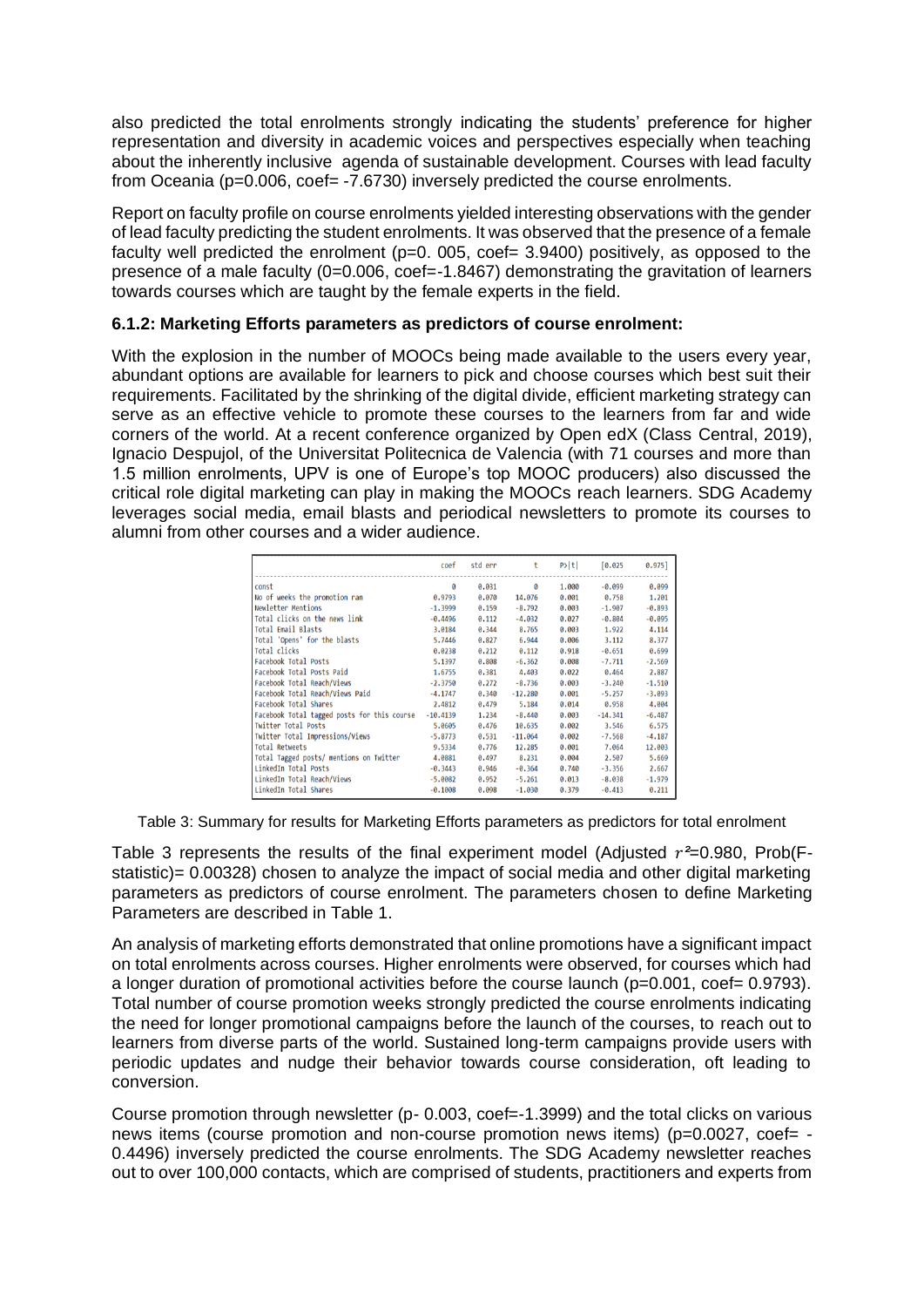also predicted the total enrolments strongly indicating the students' preference for higher representation and diversity in academic voices and perspectives especially when teaching about the inherently inclusive agenda of sustainable development. Courses with lead faculty from Oceania (p=0.006, coef= -7.6730) inversely predicted the course enrolments.

Report on faculty profile on course enrolments yielded interesting observations with the gender of lead faculty predicting the student enrolments. It was observed that the presence of a female faculty well predicted the enrolment ( $p=0$ . 005, coef= 3.9400) positively, as opposed to the presence of a male faculty (0=0.006, coef=-1.8467) demonstrating the gravitation of learners towards courses which are taught by the female experts in the field.

## **6.1.2: Marketing Efforts parameters as predictors of course enrolment:**

With the explosion in the number of MOOCs being made available to the users every year, abundant options are available for learners to pick and choose courses which best suit their requirements. Facilitated by the shrinking of the digital divide, efficient marketing strategy can serve as an effective vehicle to promote these courses to the learners from far and wide corners of the world. At a recent conference organized by Open edX (Class Central, 2019), Ignacio Despujol, of the Universitat Politecnica de Valencia (with 71 courses and more than 1.5 million enrolments, UPV is one of Europe's top MOOC producers) also discussed the critical role digital marketing can play in making the MOOCs reach learners. SDG Academy leverages social media, email blasts and periodical newsletters to promote its courses to alumni from other courses and a wider audience.

|                                             | coef       | std err | t         | P> t  | [0.025]   | $0.975$ ] |
|---------------------------------------------|------------|---------|-----------|-------|-----------|-----------|
| const                                       | ø          | 0.031   | ø         | 1.000 | $-0.099$  | 0.099     |
| No of weeks the promotion ran               | 0.9793     | 0.070   | 14.076    | 0.001 | 0.758     | 1.201     |
| Newletter Mentions                          | $-1.3999$  | 0.159   | $-8,792$  | 0.003 | $-1.907$  | $-0.893$  |
| Total clicks on the news link               | $-0.4496$  | 0.112   | $-4.032$  | 0.027 | $-0.804$  | $-0.095$  |
| Total Email Blasts                          | 3.0184     | 0.344   | 8.765     | 0.003 | 1.922     | 4.114     |
| Total 'Opens' for the blasts                | 5.7446     | 0.827   | 6.944     | 0.006 | 3.112     | 8.377     |
| Total clicks                                | 0.0238     | 0.212   | 0.112     | 0.918 | $-0.651$  | 0.699     |
| Facebook Total Posts                        | 5.1397     | 0.808   | $-6.362$  | 0.008 | $-7.711$  | $-2.569$  |
| Facebook Total Posts Paid                   | 1,6755     | 0.381   | 4.403     | 0.022 | 0.464     | 2.887     |
| Facebook Total Reach/Views                  | $-2.3750$  | 0.272   | $-8,736$  | 0.003 | $-3.240$  | $-1.510$  |
| Facebook Total Reach/Views Paid             | $-4.1747$  | 0.340   | $-12.280$ | 0.001 | $-5.257$  | $-3.093$  |
| Facebook Total Shares                       | 2.4812     | 0.479   | 5,184     | 0.014 | 0.958     | 4.004     |
| Facebook Total tagged posts for this course | $-10.4139$ | 1.234   | $-8,440$  | 0.003 | $-14.341$ | $-6,487$  |
| Twitter Total Posts                         | 5.0605     | 0.476   | 10.635    | 0.002 | 3,546     | 6.575     |
| Twitter Total Impressions/Views             | $-5.8773$  | 0.531   | $-11.064$ | 0.002 | $-7.568$  | $-4.187$  |
| Total Retweets                              | 9.5334     | 0.776   | 12,285    | 0.001 | 7.064     | 12.003    |
| Total Tagged posts/ mentions on Twitter     | 4.0881     | 0.497   | 8.231     | 0.004 | 2.507     | 5.669     |
| LinkedIn Total Posts                        | $-0.3443$  | 0.946   | $-0.364$  | 0.740 | $-3.356$  | 2.667     |
| LinkedIn Total Reach/Views                  | $-5.0082$  | 0.952   | $-5.261$  | 0.013 | $-8.038$  | $-1.979$  |
| LinkedIn Total Shares                       | $-0.1008$  | 0.098   | $-1.030$  | 0.379 | $-0.413$  | 0.211     |

Table 3: Summary for results for Marketing Efforts parameters as predictors for total enrolment

Table 3 represents the results of the final experiment model (Adjusted  $r^2=0.980$ , Prob(Fstatistic)= 0.00328) chosen to analyze the impact of social media and other digital marketing parameters as predictors of course enrolment. The parameters chosen to define Marketing Parameters are described in Table 1.

An analysis of marketing efforts demonstrated that online promotions have a significant impact on total enrolments across courses. Higher enrolments were observed, for courses which had a longer duration of promotional activities before the course launch (p=0.001, coef= 0.9793). Total number of course promotion weeks strongly predicted the course enrolments indicating the need for longer promotional campaigns before the launch of the courses, to reach out to learners from diverse parts of the world. Sustained long-term campaigns provide users with periodic updates and nudge their behavior towards course consideration, oft leading to conversion.

Course promotion through newsletter (p- 0.003, coef=-1.3999) and the total clicks on various news items (course promotion and non-course promotion news items) ( $p=0.0027$ , coef= -0.4496) inversely predicted the course enrolments. The SDG Academy newsletter reaches out to over 100,000 contacts, which are comprised of students, practitioners and experts from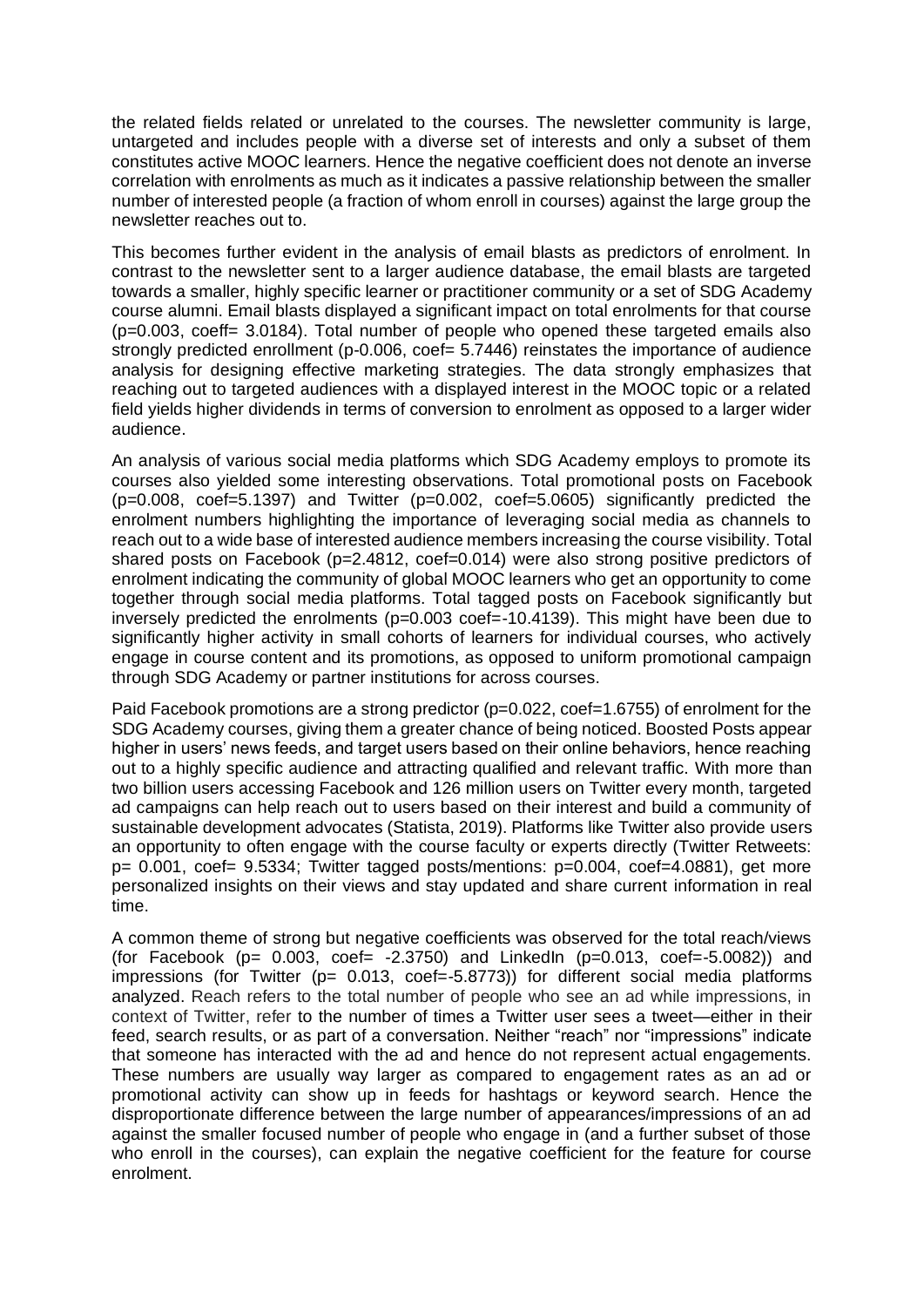the related fields related or unrelated to the courses. The newsletter community is large, untargeted and includes people with a diverse set of interests and only a subset of them constitutes active MOOC learners. Hence the negative coefficient does not denote an inverse correlation with enrolments as much as it indicates a passive relationship between the smaller number of interested people (a fraction of whom enroll in courses) against the large group the newsletter reaches out to.

This becomes further evident in the analysis of email blasts as predictors of enrolment. In contrast to the newsletter sent to a larger audience database, the email blasts are targeted towards a smaller, highly specific learner or practitioner community or a set of SDG Academy course alumni. Email blasts displayed a significant impact on total enrolments for that course (p=0.003, coeff= 3.0184). Total number of people who opened these targeted emails also strongly predicted enrollment (p-0.006, coef= 5.7446) reinstates the importance of audience analysis for designing effective marketing strategies. The data strongly emphasizes that reaching out to targeted audiences with a displayed interest in the MOOC topic or a related field yields higher dividends in terms of conversion to enrolment as opposed to a larger wider audience.

An analysis of various social media platforms which SDG Academy employs to promote its courses also yielded some interesting observations. Total promotional posts on Facebook  $(p=0.008, \text{coef}=5.1397)$  and Twitter  $(p=0.002, \text{coef}=5.0605)$  significantly predicted the enrolment numbers highlighting the importance of leveraging social media as channels to reach out to a wide base of interested audience members increasing the course visibility. Total shared posts on Facebook (p=2.4812, coef=0.014) were also strong positive predictors of enrolment indicating the community of global MOOC learners who get an opportunity to come together through social media platforms. Total tagged posts on Facebook significantly but inversely predicted the enrolments (p=0.003 coef=-10.4139). This might have been due to significantly higher activity in small cohorts of learners for individual courses, who actively engage in course content and its promotions, as opposed to uniform promotional campaign through SDG Academy or partner institutions for across courses.

Paid Facebook promotions are a strong predictor (p=0.022, coef=1.6755) of enrolment for the SDG Academy courses, giving them a greater chance of being noticed. Boosted Posts appear higher in users' news feeds, and target users based on their online behaviors, hence reaching out to a highly specific audience and attracting qualified and relevant traffic. With more than two billion users accessing Facebook and 126 million users on Twitter every month, targeted ad campaigns can help reach out to users based on their interest and build a community of sustainable development advocates (Statista, 2019). Platforms like Twitter also provide users an opportunity to often engage with the course faculty or experts directly (Twitter Retweets:  $p= 0.001$ , coef= 9.5334; Twitter tagged posts/mentions:  $p=0.004$ , coef=4.0881), get more personalized insights on their views and stay updated and share current information in real time.

A common theme of strong but negative coefficients was observed for the total reach/views (for Facebook  $(p= 0.003, \text{ coef} = -2.3750)$  and LinkedIn  $(p=0.013, \text{ coef} = -5.0082)$ ) and impressions (for Twitter ( $p= 0.013$ , coef=-5.8773)) for different social media platforms analyzed. Reach refers to the total number of people who see an ad while impressions, in context of Twitter, refer to the number of times a Twitter user sees a tweet—either in their feed, search results, or as part of a conversation. Neither "reach" nor "impressions" indicate that someone has interacted with the ad and hence do not represent actual engagements. These numbers are usually way larger as compared to engagement rates as an ad or promotional activity can show up in feeds for hashtags or keyword search. Hence the disproportionate difference between the large number of appearances/impressions of an ad against the smaller focused number of people who engage in (and a further subset of those who enroll in the courses), can explain the negative coefficient for the feature for course enrolment.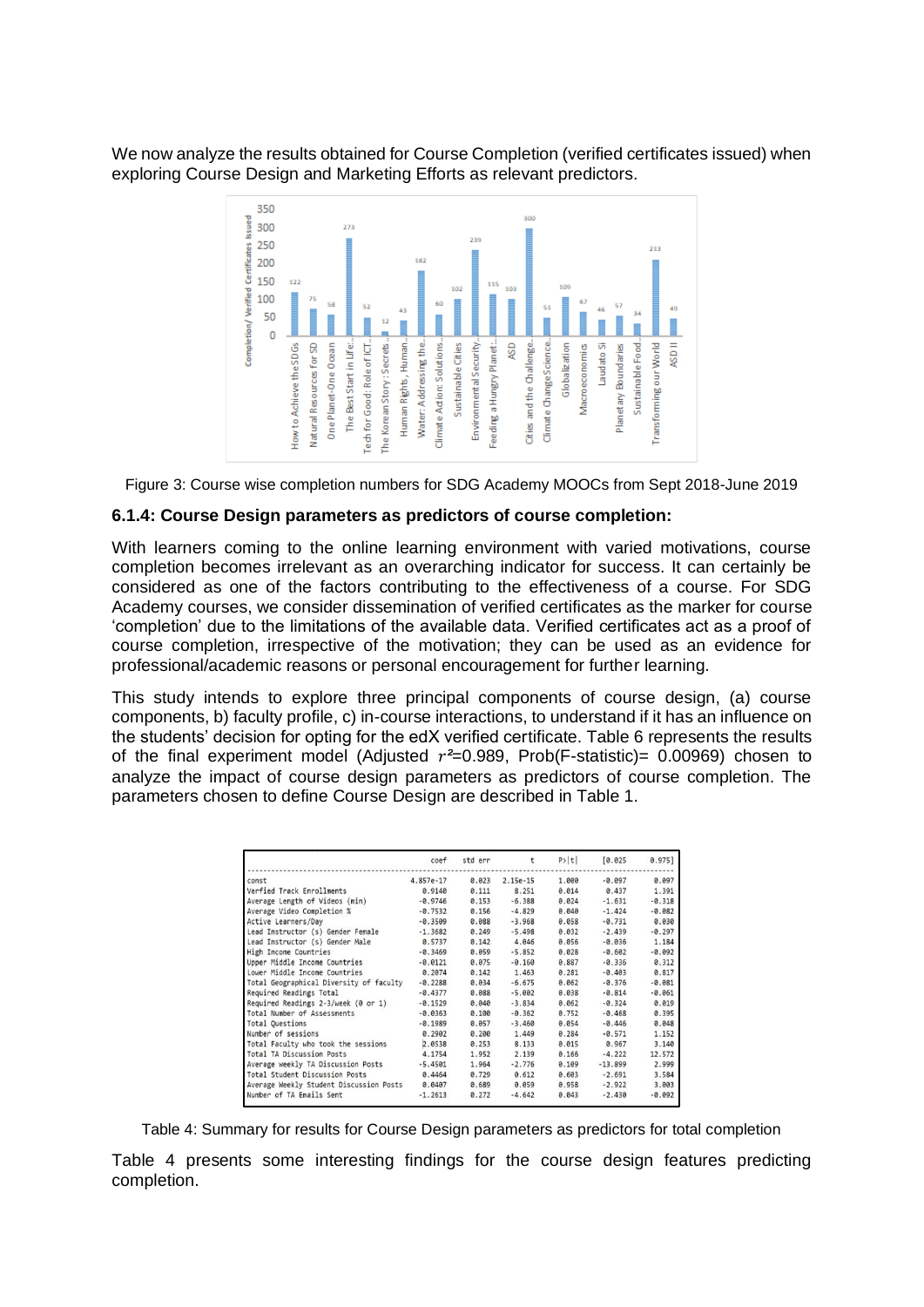We now analyze the results obtained for Course Completion (verified certificates issued) when exploring Course Design and Marketing Efforts as relevant predictors.



Figure 3: Course wise completion numbers for SDG Academy MOOCs from Sept 2018-June 2019

### **6.1.4: Course Design parameters as predictors of course completion:**

With learners coming to the online learning environment with varied motivations, course completion becomes irrelevant as an overarching indicator for success. It can certainly be considered as one of the factors contributing to the effectiveness of a course. For SDG Academy courses, we consider dissemination of verified certificates as the marker for course 'completion' due to the limitations of the available data. Verified certificates act as a proof of course completion, irrespective of the motivation; they can be used as an evidence for professional/academic reasons or personal encouragement for further learning.

This study intends to explore three principal components of course design, (a) course components, b) faculty profile, c) in-course interactions, to understand if it has an influence on the students' decision for opting for the edX verified certificate. Table 6 represents the results of the final experiment model (Adjusted *²*=0.989, Prob(F-statistic)= 0.00969) chosen to analyze the impact of course design parameters as predictors of course completion. The parameters chosen to define Course Design are described in Table 1.

|                                         | coef      | std err | t          | P >  t | [0.025]   | 0.975]   |
|-----------------------------------------|-----------|---------|------------|--------|-----------|----------|
| const                                   | 4.857e-17 | 0.023   | $2.15e-15$ | 1.000  | $-0.097$  | 0.097    |
| Verfied Track Enrollments               | 0.9140    | 0.111   | 8.251      | 0.014  | 0.437     | 1.391    |
| Average Length of Videos (min)          | $-0.9746$ | 0.153   | $-6.388$   | 0.024  | $-1.631$  | $-0.318$ |
| Average Video Completion %              | $-0.7532$ | 0.156   | $-4.829$   | 0.040  | $-1.424$  | $-0.082$ |
| Active Learners/Day                     | $-0.3509$ | 0.088   | $-3.968$   | 0.058  | $-0.731$  | 0.030    |
| Lead Instructor (s) Gender Female       | $-1.3682$ | 0.249   | $-5.498$   | 0.032  | $-2.439$  | $-0.297$ |
| Lead Instructor (s) Gender Male         | 0.5737    | 0.142   | 4.046      | 0.056  | $-0.036$  | 1.184    |
| High Income Countries                   | $-0.3469$ | 0.059   | $-5.852$   | 0.028  | $-0.602$  | $-0.092$ |
| Upper Middle Income Countries           | $-0.0121$ | 0.075   | $-0.160$   | 0.887  | $-0.336$  | 0.312    |
| Lower Middle Income Countries           | 0.2074    | 0.142   | 1.463      | 0.281  | $-0.403$  | 0.817    |
| Total Geographical Diversity of faculty | $-0.2288$ | 0.034   | $-6.675$   | 0.062  | $-0.376$  | $-0.081$ |
| Required Readings Total                 | $-0.4377$ | 0.088   | $-5.002$   | 0.038  | $-0.814$  | $-0.061$ |
| Required Readings 2-3/week (0 or 1)     | $-0.1529$ | 0.040   | $-3.834$   | 0.062  | $-0.324$  | 0.019    |
| Total Number of Assessments             | $-0.0363$ | 0.100   | $-0.362$   | 0.752  | $-0.468$  | 0.395    |
| <b>Total Ouestions</b>                  | $-0.1989$ | 0.057   | $-3.460$   | 0.054  | $-0.446$  | 0.048    |
| Number of sessions                      | 0.2902    | 0.200   | 1.449      | 0.284  | $-0.571$  | 1.152    |
| Total Faculty who took the sessions     | 2.0538    | 0.253   | 8.133      | 0.015  | 0.967     | 3.140    |
| <b>Total TA Discussion Posts</b>        | 4.1754    | 1.952   | 2.139      | 0.166  | $-4.222$  | 12.572   |
| Average weekly TA Discussion Posts      | $-5.4501$ | 1.964   | $-2.776$   | 0.109  | $-13.899$ | 2.999    |
| <b>Total Student Discussion Posts</b>   | 0.4464    | 0.729   | 0.612      | 0.603  | $-2.691$  | 3.584    |
| Average Weekly Student Discussion Posts | 0.0407    | 0.689   | 0.059      | 0.958  | $-2.922$  | 3.003    |
| Number of TA Emails Sent                | $-1.2613$ | 0.272   | $-4.642$   | 0.043  | $-2.430$  | $-0.092$ |

Table 4: Summary for results for Course Design parameters as predictors for total completion

Table 4 presents some interesting findings for the course design features predicting completion.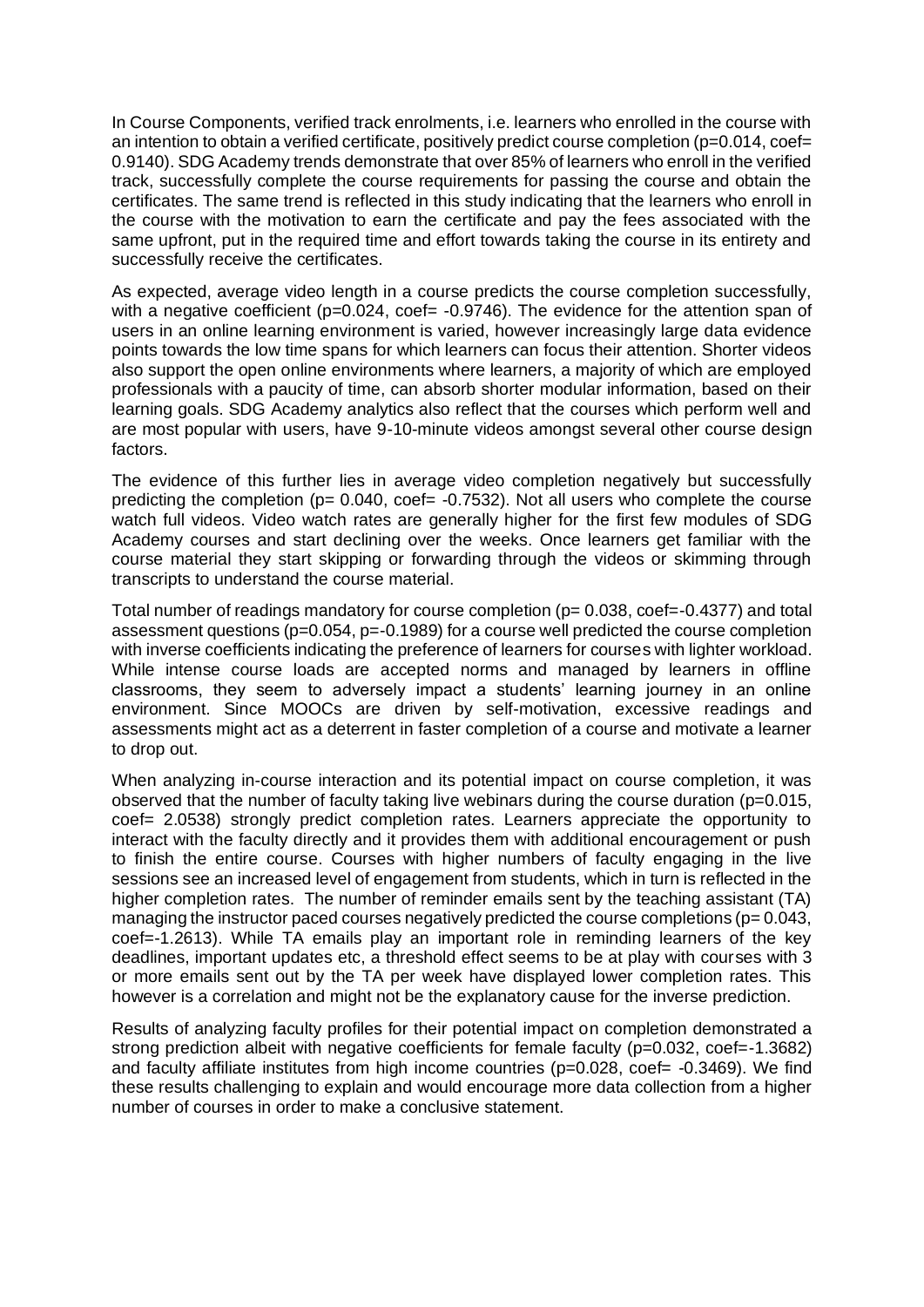In Course Components, verified track enrolments, i.e. learners who enrolled in the course with an intention to obtain a verified certificate, positively predict course completion (p=0.014, coef= 0.9140). SDG Academy trends demonstrate that over 85% of learners who enroll in the verified track, successfully complete the course requirements for passing the course and obtain the certificates. The same trend is reflected in this study indicating that the learners who enroll in the course with the motivation to earn the certificate and pay the fees associated with the same upfront, put in the required time and effort towards taking the course in its entirety and successfully receive the certificates.

As expected, average video length in a course predicts the course completion successfully, with a negative coefficient (p=0.024, coef= -0.9746). The evidence for the attention span of users in an online learning environment is varied, however increasingly large data evidence points towards the low time spans for which learners can focus their attention. Shorter videos also support the open online environments where learners, a majority of which are employed professionals with a paucity of time, can absorb shorter modular information, based on their learning goals. SDG Academy analytics also reflect that the courses which perform well and are most popular with users, have 9-10-minute videos amongst several other course design factors.

The evidence of this further lies in average video completion negatively but successfully predicting the completion ( $p= 0.040$ , coef=  $-0.7532$ ). Not all users who complete the course watch full videos. Video watch rates are generally higher for the first few modules of SDG Academy courses and start declining over the weeks. Once learners get familiar with the course material they start skipping or forwarding through the videos or skimming through transcripts to understand the course material.

Total number of readings mandatory for course completion  $(p= 0.038, \text{coef} = -0.4377)$  and total assessment questions ( $p=0.054$ ,  $p=-0.1989$ ) for a course well predicted the course completion with inverse coefficients indicating the preference of learners for courses with lighter workload. While intense course loads are accepted norms and managed by learners in offline classrooms, they seem to adversely impact a students' learning journey in an online environment. Since MOOCs are driven by self-motivation, excessive readings and assessments might act as a deterrent in faster completion of a course and motivate a learner to drop out.

When analyzing in-course interaction and its potential impact on course completion, it was observed that the number of faculty taking live webinars during the course duration (p=0.015, coef= 2.0538) strongly predict completion rates. Learners appreciate the opportunity to interact with the faculty directly and it provides them with additional encouragement or push to finish the entire course. Courses with higher numbers of faculty engaging in the live sessions see an increased level of engagement from students, which in turn is reflected in the higher completion rates. The number of reminder emails sent by the teaching assistant (TA) managing the instructor paced courses negatively predicted the course completions ( $p= 0.043$ , coef=-1.2613). While TA emails play an important role in reminding learners of the key deadlines, important updates etc, a threshold effect seems to be at play with courses with 3 or more emails sent out by the TA per week have displayed lower completion rates. This however is a correlation and might not be the explanatory cause for the inverse prediction.

Results of analyzing faculty profiles for their potential impact on completion demonstrated a strong prediction albeit with negative coefficients for female faculty (p=0.032, coef=-1.3682) and faculty affiliate institutes from high income countries (p=0.028, coef= -0.3469). We find these results challenging to explain and would encourage more data collection from a higher number of courses in order to make a conclusive statement.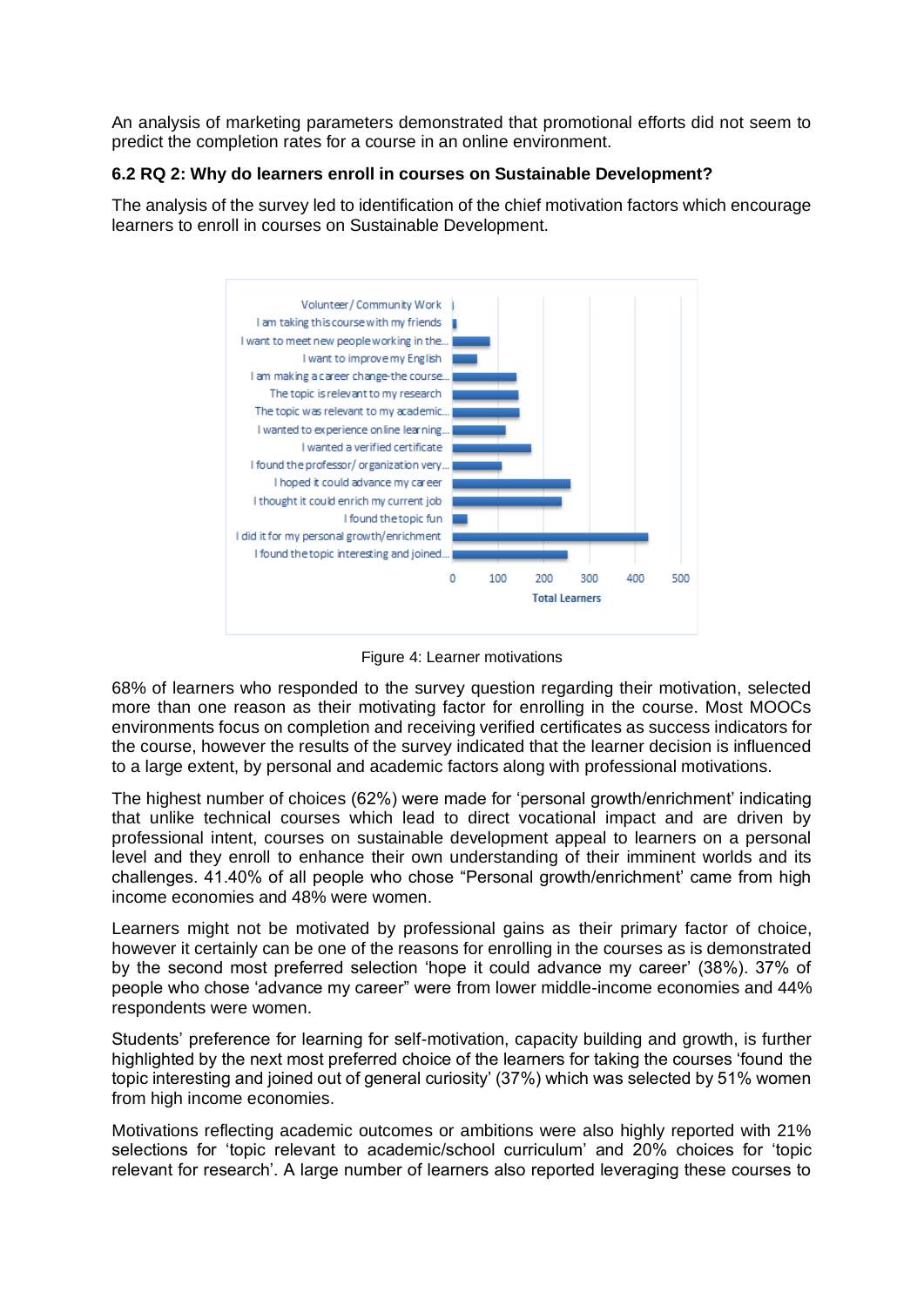An analysis of marketing parameters demonstrated that promotional efforts did not seem to predict the completion rates for a course in an online environment.

## **6.2 RQ 2: Why do learners enroll in courses on Sustainable Development?**

The analysis of the survey led to identification of the chief motivation factors which encourage learners to enroll in courses on Sustainable Development.



Figure 4: Learner motivations

68% of learners who responded to the survey question regarding their motivation, selected more than one reason as their motivating factor for enrolling in the course. Most MOOCs environments focus on completion and receiving verified certificates as success indicators for the course, however the results of the survey indicated that the learner decision is influenced to a large extent, by personal and academic factors along with professional motivations.

The highest number of choices (62%) were made for 'personal growth/enrichment' indicating that unlike technical courses which lead to direct vocational impact and are driven by professional intent, courses on sustainable development appeal to learners on a personal level and they enroll to enhance their own understanding of their imminent worlds and its challenges. 41.40% of all people who chose "Personal growth/enrichment' came from high income economies and 48% were women.

Learners might not be motivated by professional gains as their primary factor of choice, however it certainly can be one of the reasons for enrolling in the courses as is demonstrated by the second most preferred selection 'hope it could advance my career' (38%). 37% of people who chose 'advance my career" were from lower middle-income economies and 44% respondents were women.

Students' preference for learning for self-motivation, capacity building and growth, is further highlighted by the next most preferred choice of the learners for taking the courses 'found the topic interesting and joined out of general curiosity' (37%) which was selected by 51% women from high income economies.

Motivations reflecting academic outcomes or ambitions were also highly reported with 21% selections for 'topic relevant to academic/school curriculum' and 20% choices for 'topic relevant for research'. A large number of learners also reported leveraging these courses to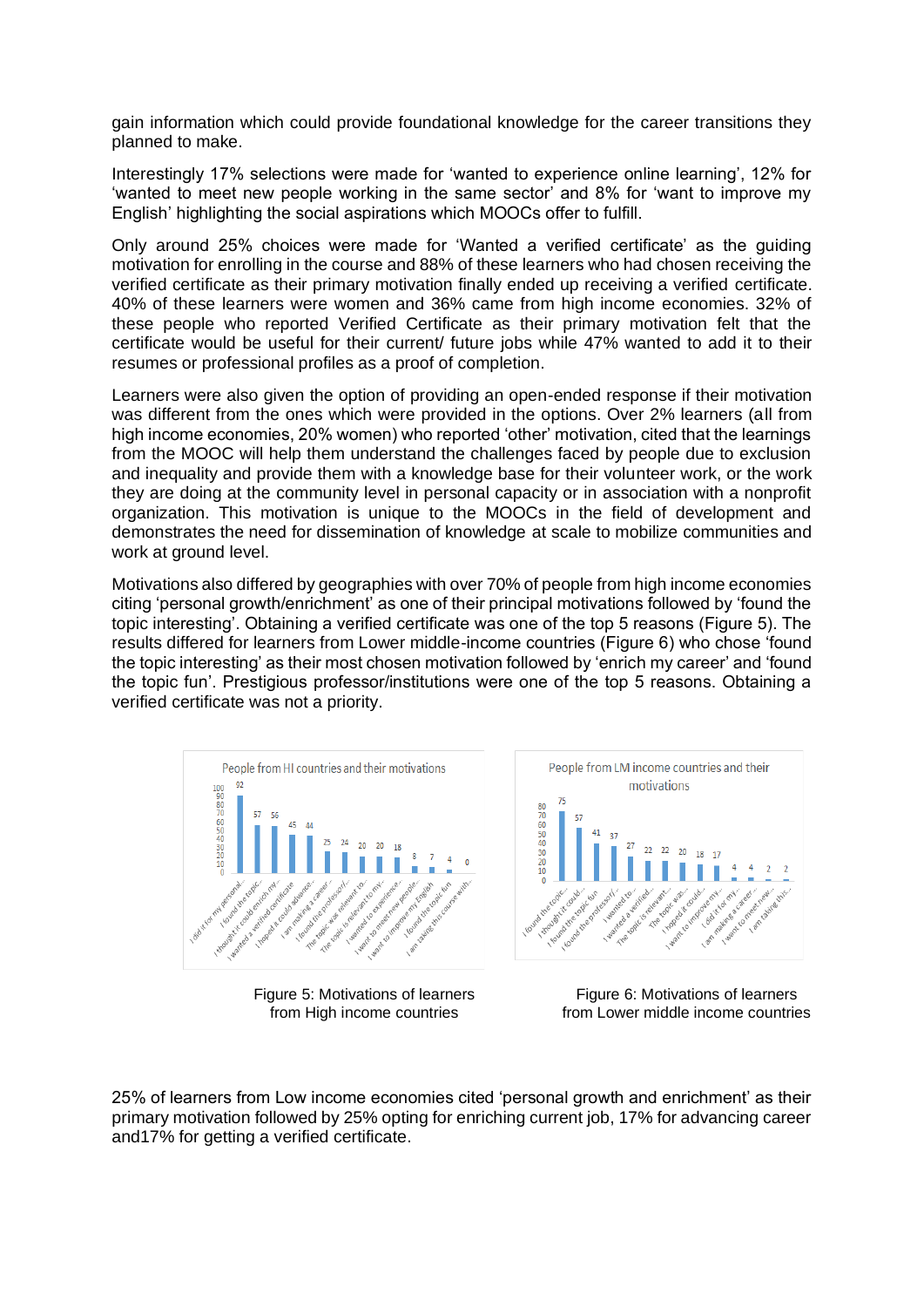gain information which could provide foundational knowledge for the career transitions they planned to make.

Interestingly 17% selections were made for 'wanted to experience online learning', 12% for 'wanted to meet new people working in the same sector' and 8% for 'want to improve my English' highlighting the social aspirations which MOOCs offer to fulfill.

Only around 25% choices were made for 'Wanted a verified certificate' as the guiding motivation for enrolling in the course and 88% of these learners who had chosen receiving the verified certificate as their primary motivation finally ended up receiving a verified certificate. 40% of these learners were women and 36% came from high income economies. 32% of these people who reported Verified Certificate as their primary motivation felt that the certificate would be useful for their current/ future jobs while 47% wanted to add it to their resumes or professional profiles as a proof of completion.

Learners were also given the option of providing an open-ended response if their motivation was different from the ones which were provided in the options. Over 2% learners (all from high income economies, 20% women) who reported 'other' motivation, cited that the learnings from the MOOC will help them understand the challenges faced by people due to exclusion and inequality and provide them with a knowledge base for their volunteer work, or the work they are doing at the community level in personal capacity or in association with a nonprofit organization. This motivation is unique to the MOOCs in the field of development and demonstrates the need for dissemination of knowledge at scale to mobilize communities and work at ground level.

Motivations also differed by geographies with over 70% of people from high income economies citing 'personal growth/enrichment' as one of their principal motivations followed by 'found the topic interesting'. Obtaining a verified certificate was one of the top 5 reasons (Figure 5). The results differed for learners from Lower middle-income countries (Figure 6) who chose 'found the topic interesting' as their most chosen motivation followed by 'enrich my career' and 'found the topic fun'. Prestigious professor/institutions were one of the top 5 reasons. Obtaining a verified certificate was not a priority.



Figure 5: Motivations of learners from High income countries



Figure 6: Motivations of learners from Lower middle income countries

25% of learners from Low income economies cited 'personal growth and enrichment' as their primary motivation followed by 25% opting for enriching current job, 17% for advancing career and17% for getting a verified certificate.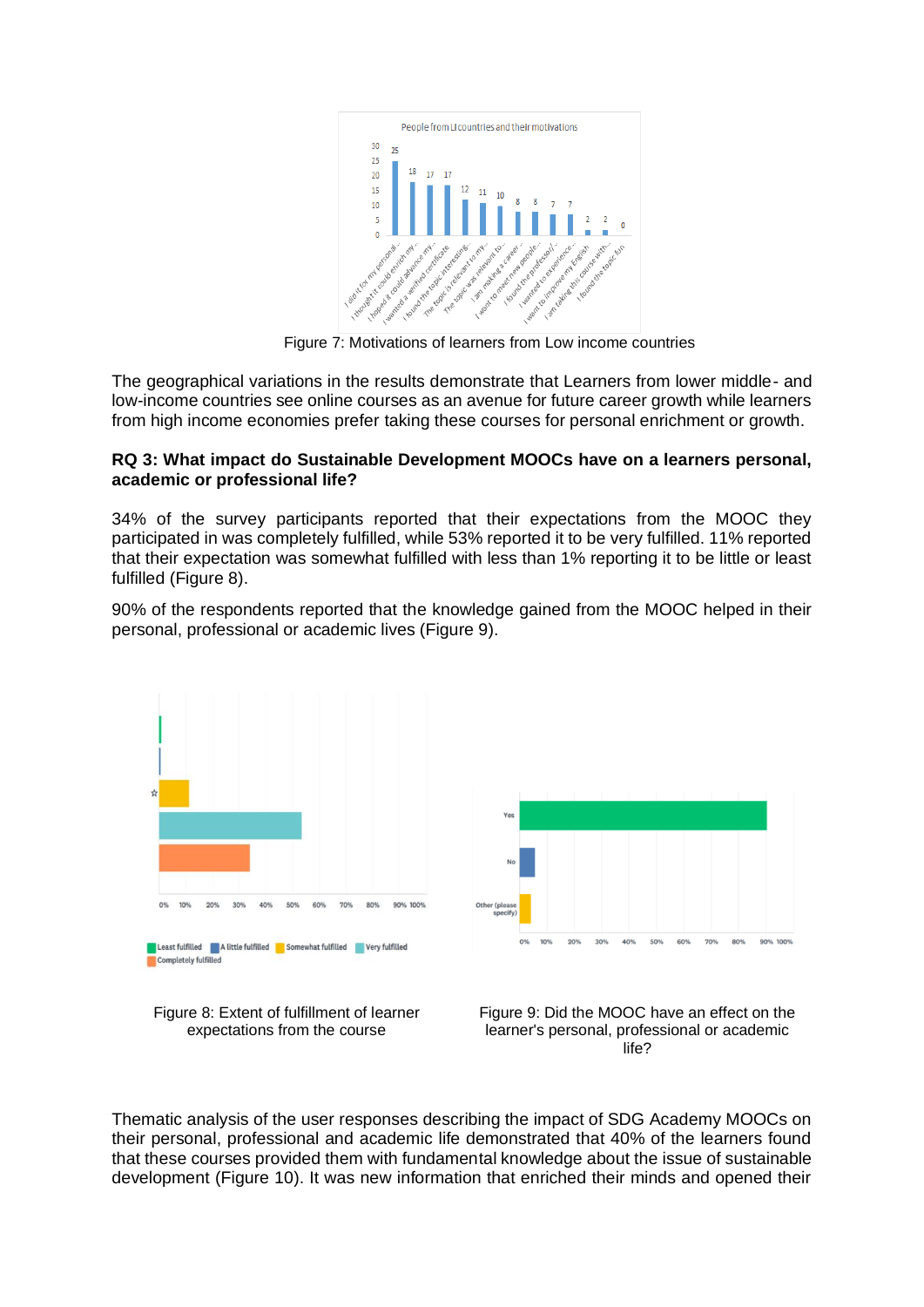

Figure 7: Motivations of learners from Low income countries

The geographical variations in the results demonstrate that Learners from lower middle- and low-income countries see online courses as an avenue for future career growth while learners from high income economies prefer taking these courses for personal enrichment or growth.

### **RQ 3: What impact do Sustainable Development MOOCs have on a learners personal, academic or professional life?**

34% of the survey participants reported that their expectations from the MOOC they participated in was completely fulfilled, while 53% reported it to be very fulfilled. 11% reported that their expectation was somewhat fulfilled with less than 1% reporting it to be little or least fulfilled (Figure 8).

90% of the respondents reported that the knowledge gained from the MOOC helped in their personal, professional or academic lives (Figure 9).





Figure 8: Extent of fulfillment of learner expectations from the course



Thematic analysis of the user responses describing the impact of SDG Academy MOOCs on their personal, professional and academic life demonstrated that 40% of the learners found that these courses provided them with fundamental knowledge about the issue of sustainable development (Figure 10). It was new information that enriched their minds and opened their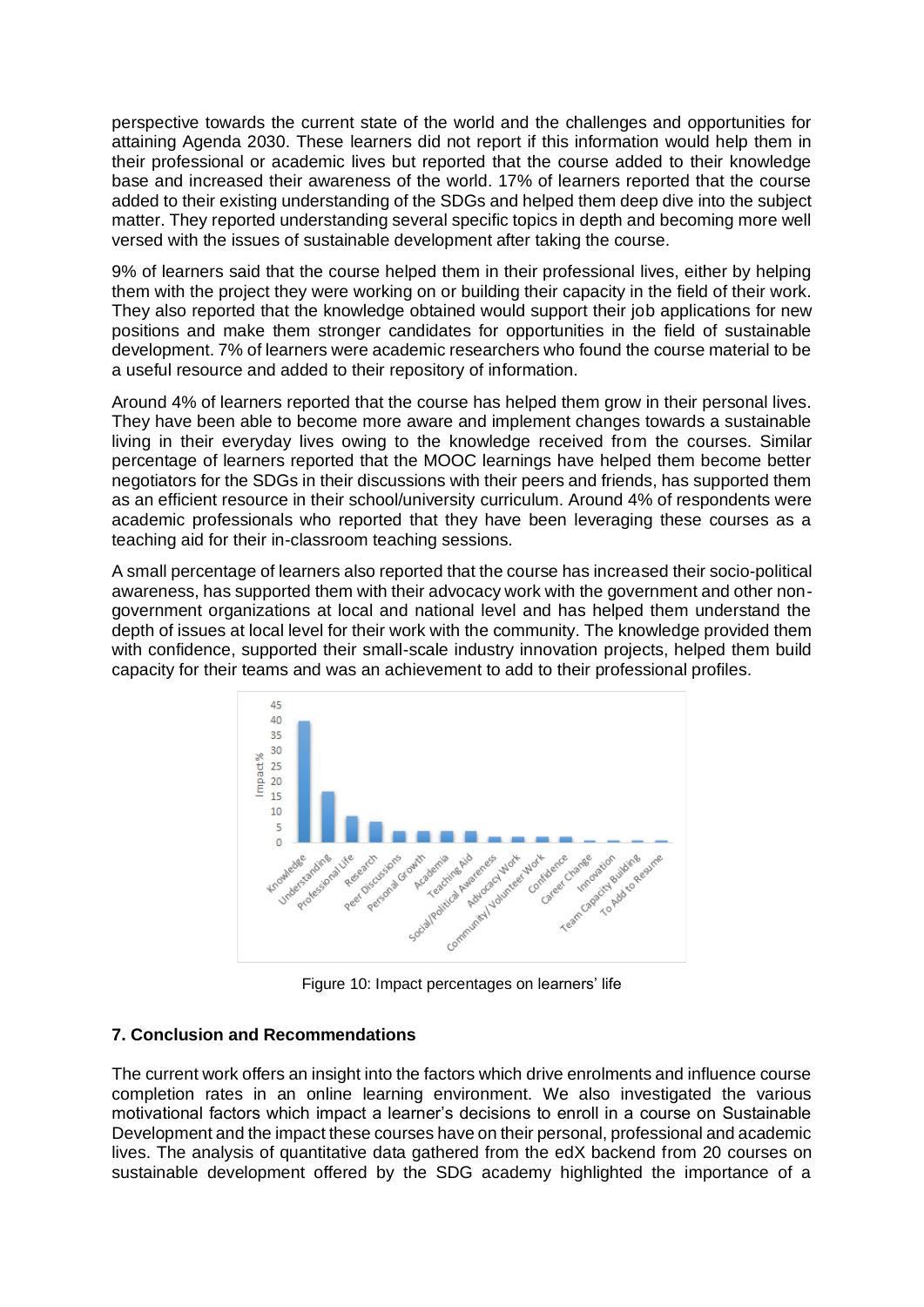perspective towards the current state of the world and the challenges and opportunities for attaining Agenda 2030. These learners did not report if this information would help them in their professional or academic lives but reported that the course added to their knowledge base and increased their awareness of the world. 17% of learners reported that the course added to their existing understanding of the SDGs and helped them deep dive into the subject matter. They reported understanding several specific topics in depth and becoming more well versed with the issues of sustainable development after taking the course.

9% of learners said that the course helped them in their professional lives, either by helping them with the project they were working on or building their capacity in the field of their work. They also reported that the knowledge obtained would support their job applications for new positions and make them stronger candidates for opportunities in the field of sustainable development. 7% of learners were academic researchers who found the course material to be a useful resource and added to their repository of information.

Around 4% of learners reported that the course has helped them grow in their personal lives. They have been able to become more aware and implement changes towards a sustainable living in their everyday lives owing to the knowledge received from the courses. Similar percentage of learners reported that the MOOC learnings have helped them become better negotiators for the SDGs in their discussions with their peers and friends, has supported them as an efficient resource in their school/university curriculum. Around 4% of respondents were academic professionals who reported that they have been leveraging these courses as a teaching aid for their in-classroom teaching sessions.

A small percentage of learners also reported that the course has increased their socio-political awareness, has supported them with their advocacy work with the government and other nongovernment organizations at local and national level and has helped them understand the depth of issues at local level for their work with the community. The knowledge provided them with confidence, supported their small-scale industry innovation projects, helped them build capacity for their teams and was an achievement to add to their professional profiles.



Figure 10: Impact percentages on learners' life

## **7. Conclusion and Recommendations**

The current work offers an insight into the factors which drive enrolments and influence course completion rates in an online learning environment. We also investigated the various motivational factors which impact a learner's decisions to enroll in a course on Sustainable Development and the impact these courses have on their personal, professional and academic lives. The analysis of quantitative data gathered from the edX backend from 20 courses on sustainable development offered by the SDG academy highlighted the importance of a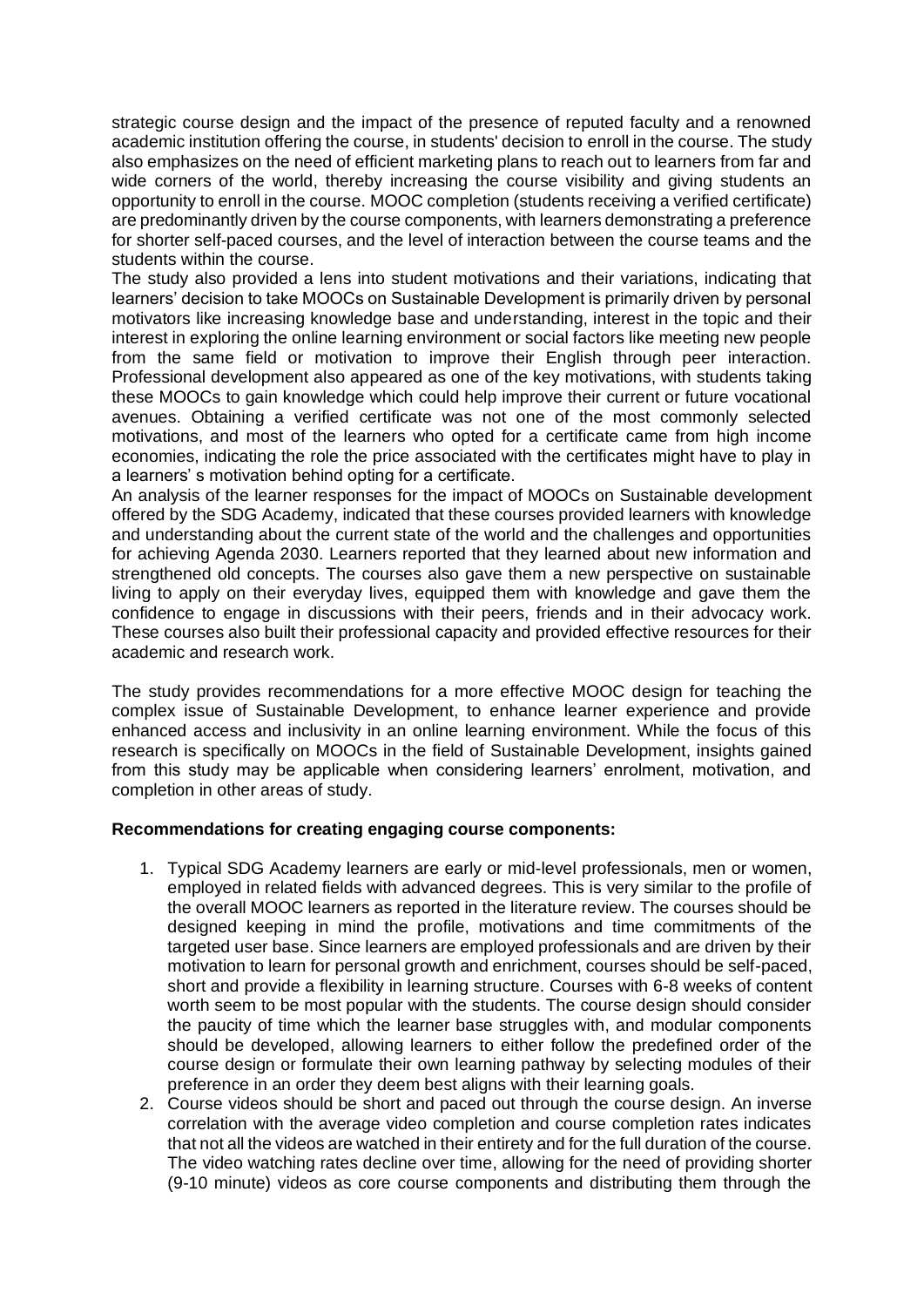strategic course design and the impact of the presence of reputed faculty and a renowned academic institution offering the course, in students' decision to enroll in the course. The study also emphasizes on the need of efficient marketing plans to reach out to learners from far and wide corners of the world, thereby increasing the course visibility and giving students an opportunity to enroll in the course. MOOC completion (students receiving a verified certificate) are predominantly driven by the course components, with learners demonstrating a preference for shorter self-paced courses, and the level of interaction between the course teams and the students within the course.

The study also provided a lens into student motivations and their variations, indicating that learners' decision to take MOOCs on Sustainable Development is primarily driven by personal motivators like increasing knowledge base and understanding, interest in the topic and their interest in exploring the online learning environment or social factors like meeting new people from the same field or motivation to improve their English through peer interaction. Professional development also appeared as one of the key motivations, with students taking these MOOCs to gain knowledge which could help improve their current or future vocational avenues. Obtaining a verified certificate was not one of the most commonly selected motivations, and most of the learners who opted for a certificate came from high income economies, indicating the role the price associated with the certificates might have to play in a learners' s motivation behind opting for a certificate.

An analysis of the learner responses for the impact of MOOCs on Sustainable development offered by the SDG Academy, indicated that these courses provided learners with knowledge and understanding about the current state of the world and the challenges and opportunities for achieving Agenda 2030. Learners reported that they learned about new information and strengthened old concepts. The courses also gave them a new perspective on sustainable living to apply on their everyday lives, equipped them with knowledge and gave them the confidence to engage in discussions with their peers, friends and in their advocacy work. These courses also built their professional capacity and provided effective resources for their academic and research work.

The study provides recommendations for a more effective MOOC design for teaching the complex issue of Sustainable Development, to enhance learner experience and provide enhanced access and inclusivity in an online learning environment. While the focus of this research is specifically on MOOCs in the field of Sustainable Development, insights gained from this study may be applicable when considering learners' enrolment, motivation, and completion in other areas of study.

### **Recommendations for creating engaging course components:**

- 1. Typical SDG Academy learners are early or mid-level professionals, men or women, employed in related fields with advanced degrees. This is very similar to the profile of the overall MOOC learners as reported in the literature review. The courses should be designed keeping in mind the profile, motivations and time commitments of the targeted user base. Since learners are employed professionals and are driven by their motivation to learn for personal growth and enrichment, courses should be self-paced, short and provide a flexibility in learning structure. Courses with 6-8 weeks of content worth seem to be most popular with the students. The course design should consider the paucity of time which the learner base struggles with, and modular components should be developed, allowing learners to either follow the predefined order of the course design or formulate their own learning pathway by selecting modules of their preference in an order they deem best aligns with their learning goals.
- 2. Course videos should be short and paced out through the course design. An inverse correlation with the average video completion and course completion rates indicates that not all the videos are watched in their entirety and for the full duration of the course. The video watching rates decline over time, allowing for the need of providing shorter (9-10 minute) videos as core course components and distributing them through the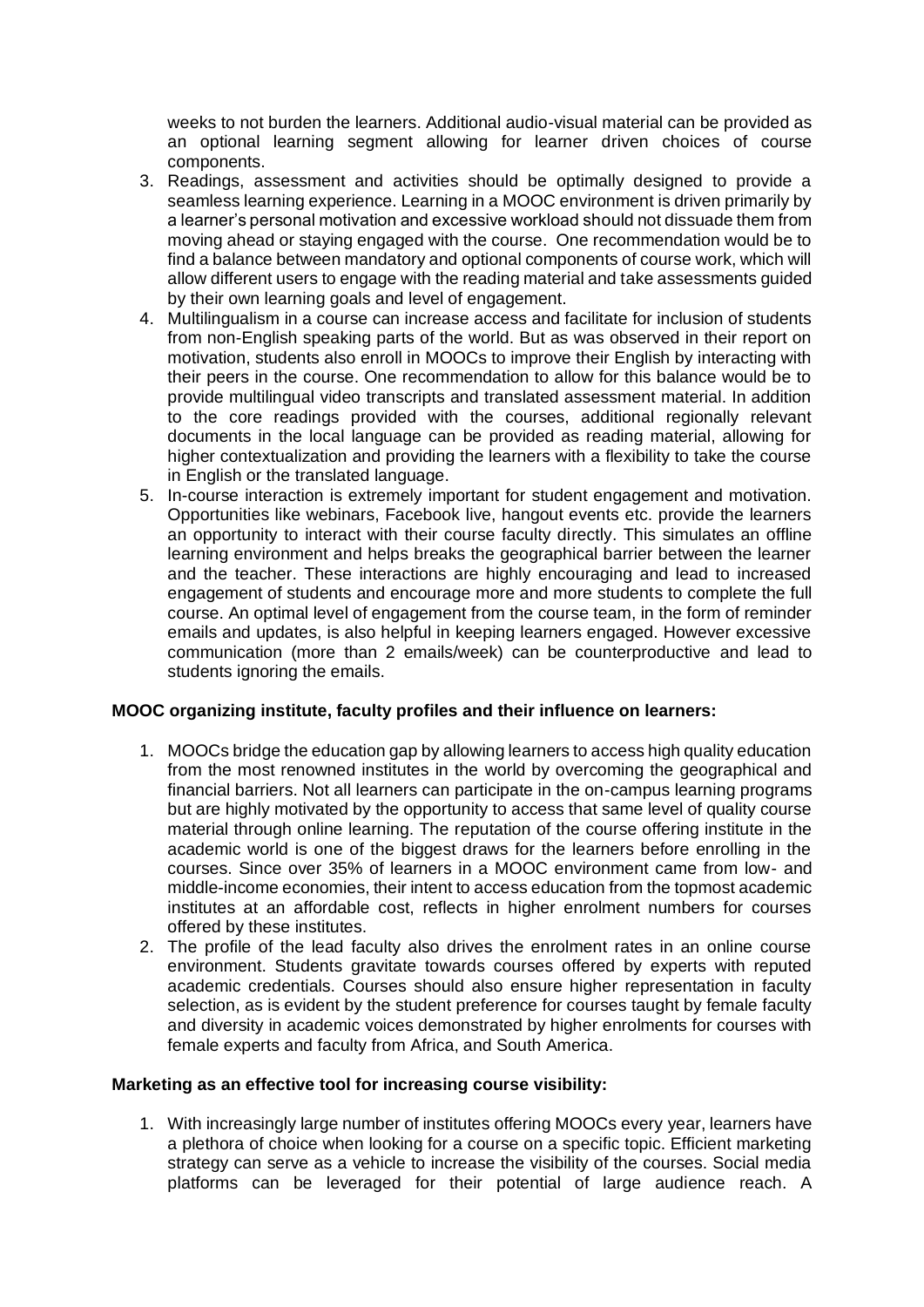weeks to not burden the learners. Additional audio-visual material can be provided as an optional learning segment allowing for learner driven choices of course components.

- 3. Readings, assessment and activities should be optimally designed to provide a seamless learning experience. Learning in a MOOC environment is driven primarily by a learner's personal motivation and excessive workload should not dissuade them from moving ahead or staying engaged with the course. One recommendation would be to find a balance between mandatory and optional components of course work, which will allow different users to engage with the reading material and take assessments guided by their own learning goals and level of engagement.
- 4. Multilingualism in a course can increase access and facilitate for inclusion of students from non-English speaking parts of the world. But as was observed in their report on motivation, students also enroll in MOOCs to improve their English by interacting with their peers in the course. One recommendation to allow for this balance would be to provide multilingual video transcripts and translated assessment material. In addition to the core readings provided with the courses, additional regionally relevant documents in the local language can be provided as reading material, allowing for higher contextualization and providing the learners with a flexibility to take the course in English or the translated language.
- 5. In-course interaction is extremely important for student engagement and motivation. Opportunities like webinars, Facebook live, hangout events etc. provide the learners an opportunity to interact with their course faculty directly. This simulates an offline learning environment and helps breaks the geographical barrier between the learner and the teacher. These interactions are highly encouraging and lead to increased engagement of students and encourage more and more students to complete the full course. An optimal level of engagement from the course team, in the form of reminder emails and updates, is also helpful in keeping learners engaged. However excessive communication (more than 2 emails/week) can be counterproductive and lead to students ignoring the emails.

## **MOOC organizing institute, faculty profiles and their influence on learners:**

- 1. MOOCs bridge the education gap by allowing learners to access high quality education from the most renowned institutes in the world by overcoming the geographical and financial barriers. Not all learners can participate in the on-campus learning programs but are highly motivated by the opportunity to access that same level of quality course material through online learning. The reputation of the course offering institute in the academic world is one of the biggest draws for the learners before enrolling in the courses. Since over 35% of learners in a MOOC environment came from low- and middle-income economies, their intent to access education from the topmost academic institutes at an affordable cost, reflects in higher enrolment numbers for courses offered by these institutes.
- 2. The profile of the lead faculty also drives the enrolment rates in an online course environment. Students gravitate towards courses offered by experts with reputed academic credentials. Courses should also ensure higher representation in faculty selection, as is evident by the student preference for courses taught by female faculty and diversity in academic voices demonstrated by higher enrolments for courses with female experts and faculty from Africa, and South America.

### **Marketing as an effective tool for increasing course visibility:**

1. With increasingly large number of institutes offering MOOCs every year, learners have a plethora of choice when looking for a course on a specific topic. Efficient marketing strategy can serve as a vehicle to increase the visibility of the courses. Social media platforms can be leveraged for their potential of large audience reach. A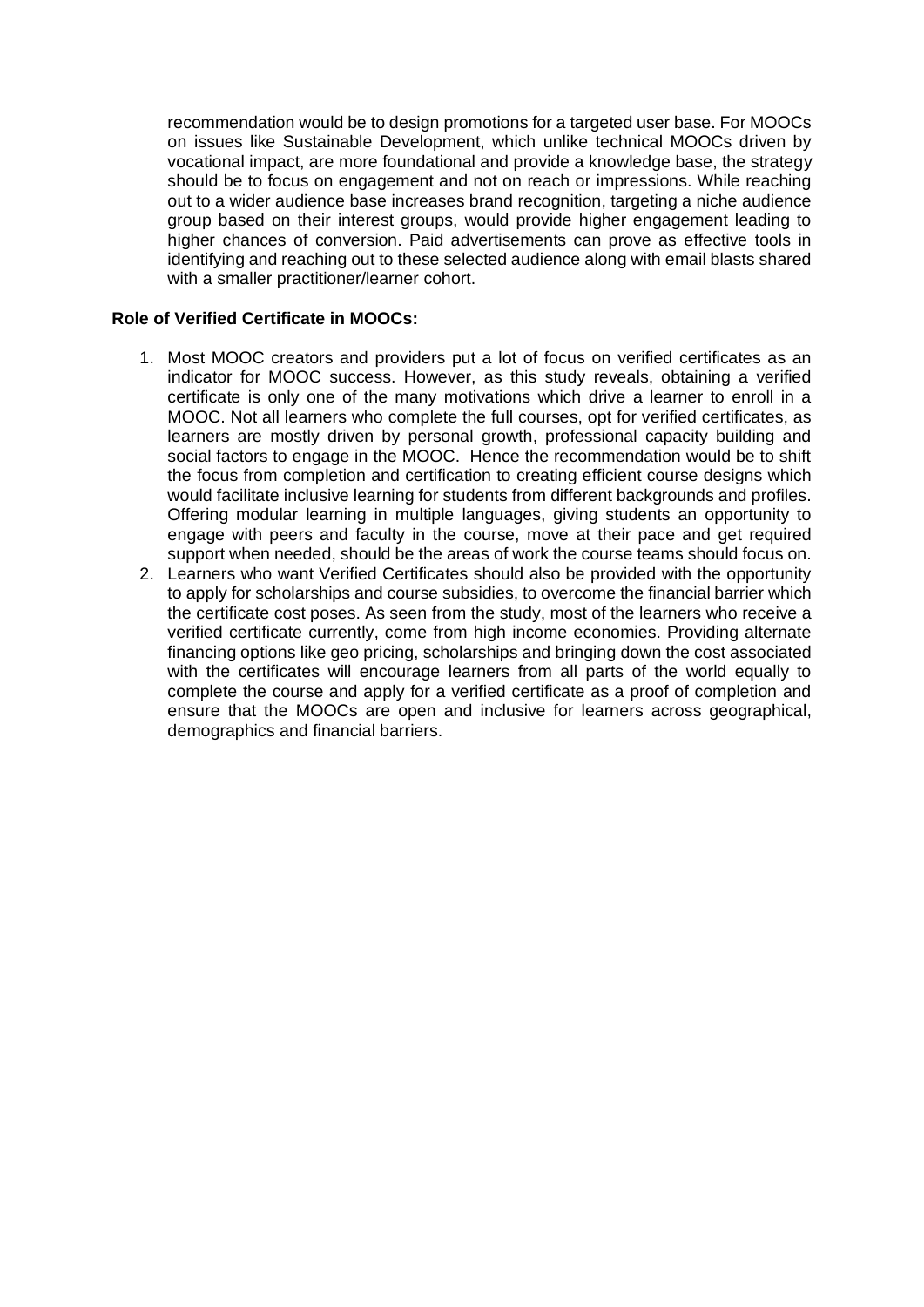recommendation would be to design promotions for a targeted user base. For MOOCs on issues like Sustainable Development, which unlike technical MOOCs driven by vocational impact, are more foundational and provide a knowledge base, the strategy should be to focus on engagement and not on reach or impressions. While reaching out to a wider audience base increases brand recognition, targeting a niche audience group based on their interest groups, would provide higher engagement leading to higher chances of conversion. Paid advertisements can prove as effective tools in identifying and reaching out to these selected audience along with email blasts shared with a smaller practitioner/learner cohort.

## **Role of Verified Certificate in MOOCs:**

- 1. Most MOOC creators and providers put a lot of focus on verified certificates as an indicator for MOOC success. However, as this study reveals, obtaining a verified certificate is only one of the many motivations which drive a learner to enroll in a MOOC. Not all learners who complete the full courses, opt for verified certificates, as learners are mostly driven by personal growth, professional capacity building and social factors to engage in the MOOC. Hence the recommendation would be to shift the focus from completion and certification to creating efficient course designs which would facilitate inclusive learning for students from different backgrounds and profiles. Offering modular learning in multiple languages, giving students an opportunity to engage with peers and faculty in the course, move at their pace and get required support when needed, should be the areas of work the course teams should focus on.
- 2. Learners who want Verified Certificates should also be provided with the opportunity to apply for scholarships and course subsidies, to overcome the financial barrier which the certificate cost poses. As seen from the study, most of the learners who receive a verified certificate currently, come from high income economies. Providing alternate financing options like geo pricing, scholarships and bringing down the cost associated with the certificates will encourage learners from all parts of the world equally to complete the course and apply for a verified certificate as a proof of completion and ensure that the MOOCs are open and inclusive for learners across geographical, demographics and financial barriers.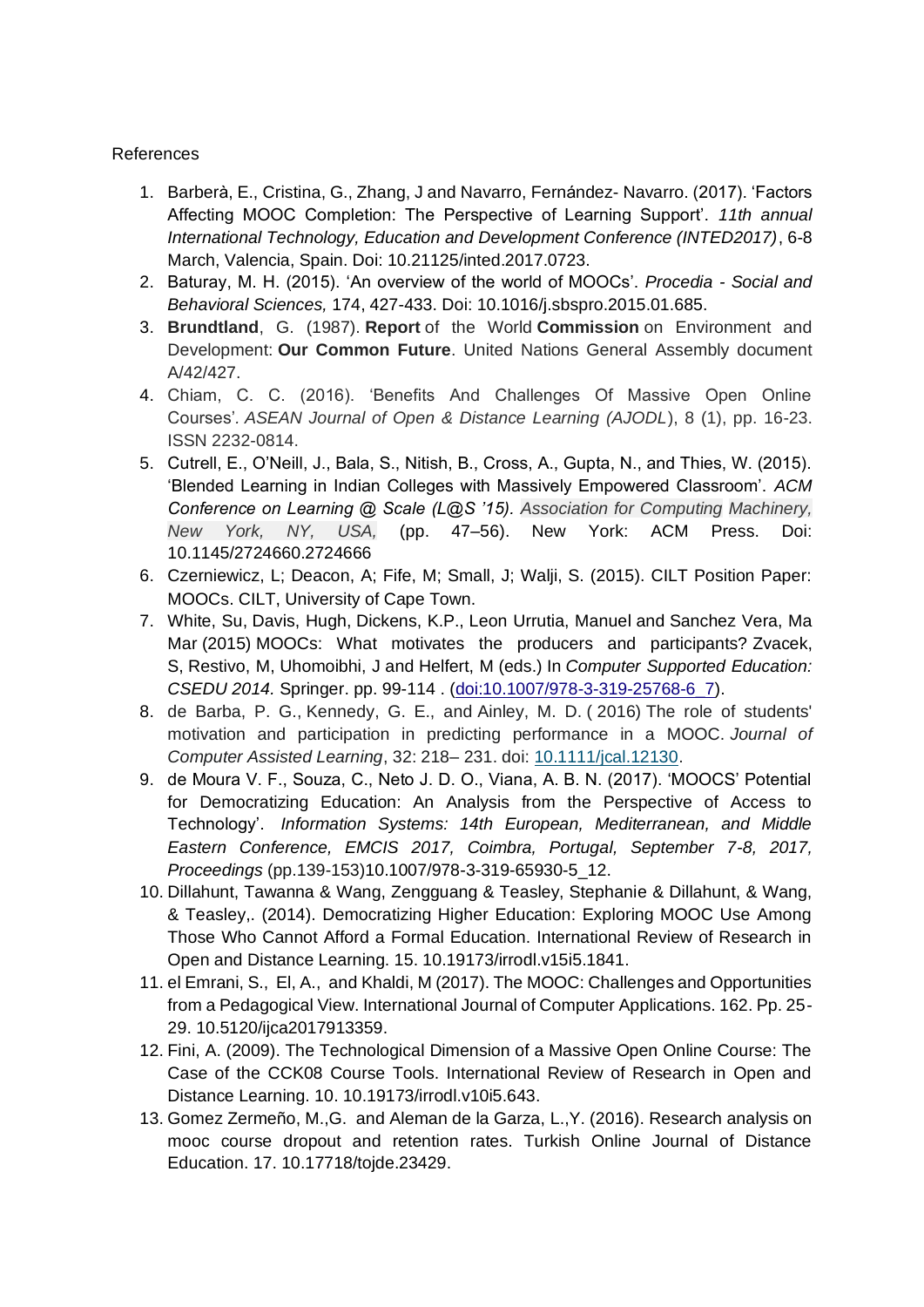## References

- 1. Barberà, E., Cristina, G., Zhang, J and Navarro, Fernández- Navarro. (2017). 'Factors Affecting MOOC Completion: The Perspective of Learning Support'. *11th annual International Technology, Education and Development Conference (INTED2017)*, 6-8 March, Valencia, Spain. Doi: 10.21125/inted.2017.0723.
- 2. Baturay, M. H. (2015). 'An overview of the world of MOOCs'. *Procedia - Social and Behavioral Sciences,* 174, 427-433. Doi: 10.1016/j.sbspro.2015.01.685.
- 3. **Brundtland**, G. (1987). **Report** of the World **Commission** on Environment and Development: **Our Common Future**. United Nations General Assembly document A/42/427.
- 4. Chiam, C. C. (2016). 'Benefits And Challenges Of Massive Open Online Courses'*. ASEAN Journal of Open & Distance Learning (AJODL*), 8 (1), pp. 16-23. ISSN 2232-0814.
- 5. Cutrell, E., O'Neill, J., Bala, S., Nitish, B., Cross, A., Gupta, N., and Thies, W. (2015). 'Blended Learning in Indian Colleges with Massively Empowered Classroom'. *ACM Conference on Learning @ Scale (L@S '15). Association for Computing Machinery, New York, NY, USA,* (pp. 47–56). New York: ACM Press. Doi: 10.1145/2724660.2724666
- 6. Czerniewicz, L; Deacon, A; Fife, M; Small, J; Walji, S. (2015). CILT Position Paper: MOOCs. CILT, University of Cape Town.
- 7. White, Su, Davis, Hugh, Dickens, K.P., Leon Urrutia, Manuel and Sanchez Vera, Ma Mar (2015) MOOCs: What motivates the producers and participants? Zvacek, S, Restivo, M, Uhomoibhi, J and Helfert, M (eds.) In *Computer Supported Education: CSEDU 2014.* Springer. pp. 99-114 . [\(doi:10.1007/978-3-319-25768-6\\_7\)](http://dx.doi.org/10.1007/978-3-319-25768-6_7).
- 8. de Barba, P. G., Kennedy, G. E., and Ainley, M. D. ( 2016) The role of students' motivation and participation in predicting performance in a MOOC. *Journal of Computer Assisted Learning*, 32: 218– 231. doi: [10.1111/jcal.12130.](https://doi.org/10.1111/jcal.12130)
- 9. de Moura V. F., Souza, C., Neto J. D. O., Viana, A. B. N. (2017). 'MOOCS' Potential for Democratizing Education: An Analysis from the Perspective of Access to Technology'. *Information Systems: 14th European, Mediterranean, and Middle Eastern Conference, EMCIS 2017, Coimbra, Portugal, September 7-8, 2017, Proceedings* (pp.139-153)10.1007/978-3-319-65930-5\_12.
- 10. Dillahunt, Tawanna & Wang, Zengguang & Teasley, Stephanie & Dillahunt, & Wang, & Teasley,. (2014). Democratizing Higher Education: Exploring MOOC Use Among Those Who Cannot Afford a Formal Education. International Review of Research in Open and Distance Learning. 15. 10.19173/irrodl.v15i5.1841.
- 11. el Emrani, S., El, A., and Khaldi, M (2017). The MOOC: Challenges and Opportunities from a Pedagogical View. International Journal of Computer Applications. 162. Pp. 25- 29. 10.5120/ijca2017913359.
- 12. Fini, A. (2009). The Technological Dimension of a Massive Open Online Course: The Case of the CCK08 Course Tools. International Review of Research in Open and Distance Learning. 10. 10.19173/irrodl.v10i5.643.
- 13. Gomez Zermeño, M.,G. and Aleman de la Garza, L.,Y. (2016). Research analysis on mooc course dropout and retention rates. Turkish Online Journal of Distance Education. 17. 10.17718/tojde.23429.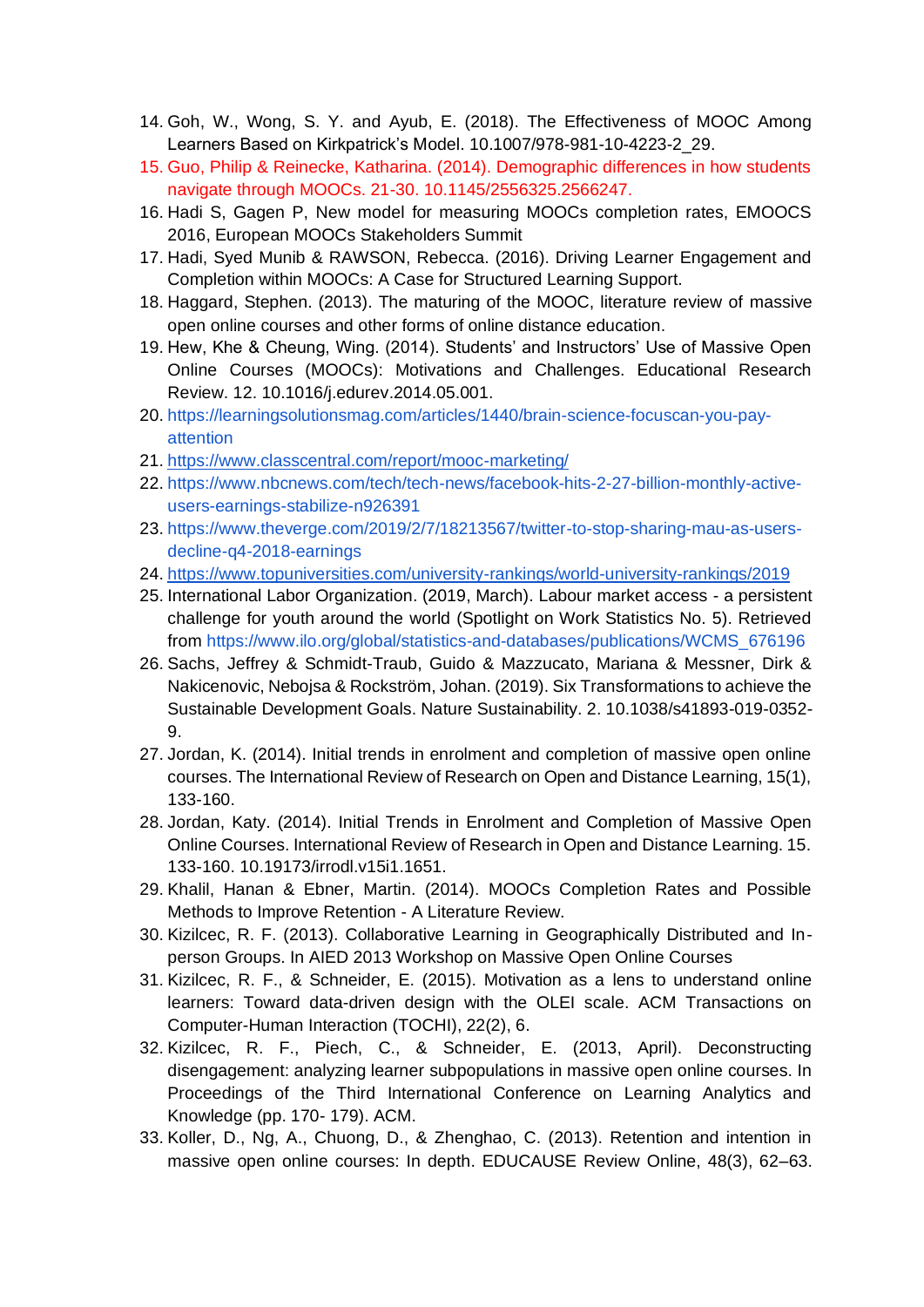- 14. Goh, W., Wong, S. Y. and Ayub, E. (2018). The Effectiveness of MOOC Among Learners Based on Kirkpatrick's Model. 10.1007/978-981-10-4223-2\_29.
- 15. Guo, Philip & Reinecke, Katharina. (2014). Demographic differences in how students navigate through MOOCs. 21-30. 10.1145/2556325.2566247.
- 16. Hadi S, Gagen P, New model for measuring MOOCs completion rates, EMOOCS 2016, European MOOCs Stakeholders Summit
- 17. Hadi, Syed Munib & RAWSON, Rebecca. (2016). Driving Learner Engagement and Completion within MOOCs: A Case for Structured Learning Support.
- 18. Haggard, Stephen. (2013). The maturing of the MOOC, literature review of massive open online courses and other forms of online distance education.
- 19. Hew, Khe & Cheung, Wing. (2014). Students' and Instructors' Use of Massive Open Online Courses (MOOCs): Motivations and Challenges. Educational Research Review. 12. 10.1016/j.edurev.2014.05.001.
- 20. [https://learningsolutionsmag.com/articles/1440/brain-science-focuscan-you-pay](https://learningsolutionsmag.com/articles/1440/brain-science-focuscan-you-pay-attention)[attention](https://learningsolutionsmag.com/articles/1440/brain-science-focuscan-you-pay-attention)
- 21. <https://www.classcentral.com/report/mooc-marketing/>
- 22. [https://www.nbcnews.com/tech/tech-news/facebook-hits-2-27-billion-monthly-active](https://www.nbcnews.com/tech/tech-news/facebook-hits-2-27-billion-monthly-active-users-earnings-stabilize-n926391)[users-earnings-stabilize-n926391](https://www.nbcnews.com/tech/tech-news/facebook-hits-2-27-billion-monthly-active-users-earnings-stabilize-n926391)
- 23. [https://www.theverge.com/2019/2/7/18213567/twitter-to-stop-sharing-mau-as-users](https://www.theverge.com/2019/2/7/18213567/twitter-to-stop-sharing-mau-as-users-decline-q4-2018-earnings)[decline-q4-2018-earnings](https://www.theverge.com/2019/2/7/18213567/twitter-to-stop-sharing-mau-as-users-decline-q4-2018-earnings)
- 24. <https://www.topuniversities.com/university-rankings/world-university-rankings/2019>
- 25. International Labor Organization. (2019, March). Labour market access a persistent challenge for youth around the world (Spotlight on Work Statistics No. 5). Retrieved from [https://www.ilo.org/global/statistics-and-databases/publications/WCMS\\_676196](https://www.ilo.org/global/statistics-and-databases/publications/WCMS_676196)
- 26. Sachs, Jeffrey & Schmidt-Traub, Guido & Mazzucato, Mariana & Messner, Dirk & Nakicenovic, Nebojsa & Rockström, Johan. (2019). Six Transformations to achieve the Sustainable Development Goals. Nature Sustainability. 2. 10.1038/s41893-019-0352- 9.
- 27. Jordan, K. (2014). Initial trends in enrolment and completion of massive open online courses. The International Review of Research on Open and Distance Learning, 15(1), 133-160.
- 28. Jordan, Katy. (2014). Initial Trends in Enrolment and Completion of Massive Open Online Courses. International Review of Research in Open and Distance Learning. 15. 133-160. 10.19173/irrodl.v15i1.1651.
- 29. Khalil, Hanan & Ebner, Martin. (2014). MOOCs Completion Rates and Possible Methods to Improve Retention - A Literature Review.
- 30. Kizilcec, R. F. (2013). Collaborative Learning in Geographically Distributed and Inperson Groups. In AIED 2013 Workshop on Massive Open Online Courses
- 31. Kizilcec, R. F., & Schneider, E. (2015). Motivation as a lens to understand online learners: Toward data-driven design with the OLEI scale. ACM Transactions on Computer-Human Interaction (TOCHI), 22(2), 6.
- 32. Kizilcec, R. F., Piech, C., & Schneider, E. (2013, April). Deconstructing disengagement: analyzing learner subpopulations in massive open online courses. In Proceedings of the Third International Conference on Learning Analytics and Knowledge (pp. 170- 179). ACM.
- 33. Koller, D., Ng, A., Chuong, D., & Zhenghao, C. (2013). Retention and intention in massive open online courses: In depth. EDUCAUSE Review Online, 48(3), 62–63.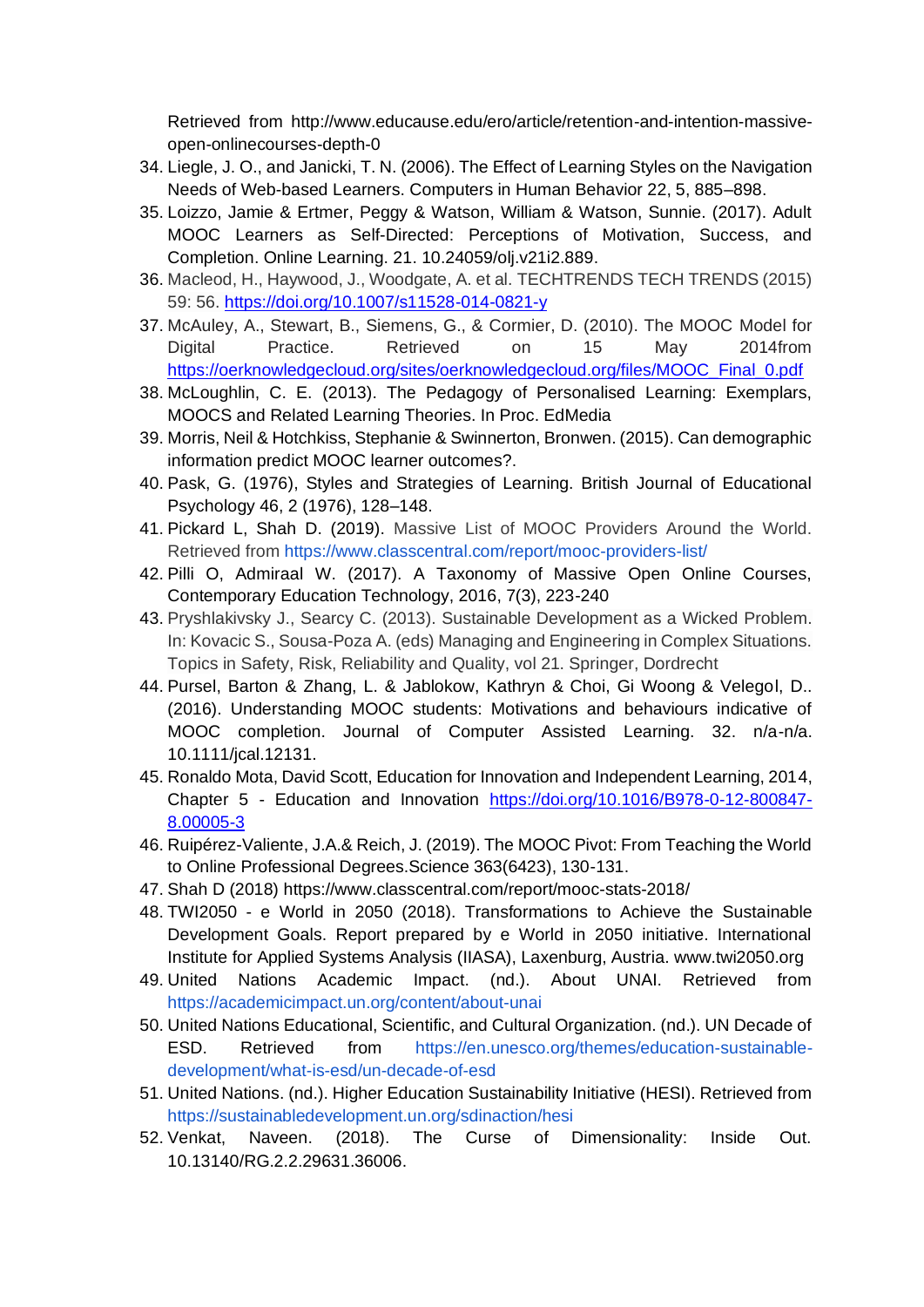Retrieved from http://www.educause.edu/ero/article/retention-and-intention-massiveopen-onlinecourses-depth-0

- 34. Liegle, J. O., and Janicki, T. N. (2006). The Effect of Learning Styles on the Navigation Needs of Web-based Learners. Computers in Human Behavior 22, 5, 885–898.
- 35. Loizzo, Jamie & Ertmer, Peggy & Watson, William & Watson, Sunnie. (2017). Adult MOOC Learners as Self-Directed: Perceptions of Motivation, Success, and Completion. Online Learning. 21. 10.24059/olj.v21i2.889.
- 36. Macleod, H., Haywood, J., Woodgate, A. et al. TECHTRENDS TECH TRENDS (2015) 59: 56.<https://doi.org/10.1007/s11528-014-0821-y>
- 37. McAuley, A., Stewart, B., Siemens, G., & Cormier, D. (2010). The MOOC Model for Digital Practice. Retrieved on 15 May 2014from [https://oerknowledgecloud.org/sites/oerknowledgecloud.org/files/MOOC\\_Final\\_0.pdf](https://oerknowledgecloud.org/sites/oerknowledgecloud.org/files/MOOC_Final_0.pdf)
- 38. McLoughlin, C. E. (2013). The Pedagogy of Personalised Learning: Exemplars, MOOCS and Related Learning Theories. In Proc. EdMedia
- 39. Morris, Neil & Hotchkiss, Stephanie & Swinnerton, Bronwen. (2015). Can demographic information predict MOOC learner outcomes?.
- 40. Pask, G. (1976), Styles and Strategies of Learning. British Journal of Educational Psychology 46, 2 (1976), 128–148.
- 41. Pickard L, Shah D. (2019). Massive List of MOOC Providers Around the World. Retrieved from<https://www.classcentral.com/report/mooc-providers-list/>
- 42. Pilli O, Admiraal W. (2017). A Taxonomy of Massive Open Online Courses, Contemporary Education Technology, 2016, 7(3), 223-240
- 43. Pryshlakivsky J., Searcy C. (2013). Sustainable Development as a Wicked Problem. In: Kovacic S., Sousa-Poza A. (eds) Managing and Engineering in Complex Situations. Topics in Safety, Risk, Reliability and Quality, vol 21. Springer, Dordrecht
- 44. Pursel, Barton & Zhang, L. & Jablokow, Kathryn & Choi, Gi Woong & Velegol, D.. (2016). Understanding MOOC students: Motivations and behaviours indicative of MOOC completion. Journal of Computer Assisted Learning. 32. n/a-n/a. 10.1111/jcal.12131.
- 45. Ronaldo Mota, David Scott, Education for Innovation and Independent Learning, 2014, Chapter 5 - Education and Innovation [https://doi.org/10.1016/B978-0-12-800847-](https://doi.org/10.1016/B978-0-12-800847-8.00005-3) [8.00005-3](https://doi.org/10.1016/B978-0-12-800847-8.00005-3)
- 46. Ruipérez-Valiente, J.A.& Reich, J. (2019). The MOOC Pivot: From Teaching the World to Online Professional Degrees.Science 363(6423), 130-131.
- 47. Shah D (2018)<https://www.classcentral.com/report/mooc-stats-2018/>
- 48. TWI2050 e World in 2050 (2018). Transformations to Achieve the Sustainable Development Goals. Report prepared by e World in 2050 initiative. International Institute for Applied Systems Analysis (IIASA), Laxenburg, Austria. www.twi2050.org
- 49. United Nations Academic Impact. (nd.). About UNAI. Retrieved from <https://academicimpact.un.org/content/about-unai>
- 50. United Nations Educational, Scientific, and Cultural Organization. (nd.). UN Decade of ESD. Retrieved from [https://en.unesco.org/themes/education-sustainable](https://en.unesco.org/themes/education-sustainable-development/what-is-esd/un-decade-of-esd)[development/what-is-esd/un-decade-of-esd](https://en.unesco.org/themes/education-sustainable-development/what-is-esd/un-decade-of-esd)
- 51. United Nations. (nd.). Higher Education Sustainability Initiative (HESI). Retrieved from <https://sustainabledevelopment.un.org/sdinaction/hesi>
- 52. Venkat, Naveen. (2018). The Curse of Dimensionality: Inside Out. 10.13140/RG.2.2.29631.36006.